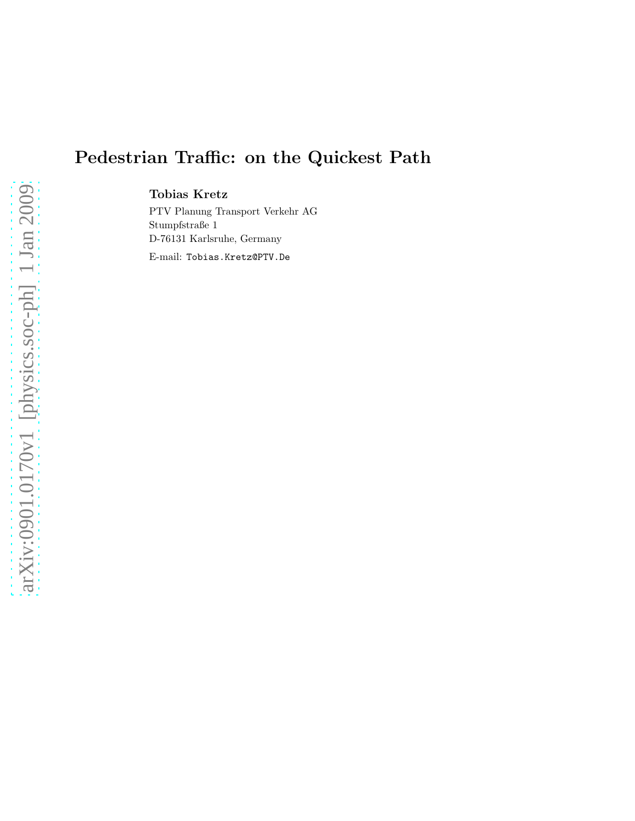# Pedestrian Traffic: on the Quickest Path

Tobias Kretz

PTV Planung Transport Verkehr AG Stumpfstraße 1 D-76131 Karlsruhe, Germany

E-mail: Tobias.Kretz@PTV.De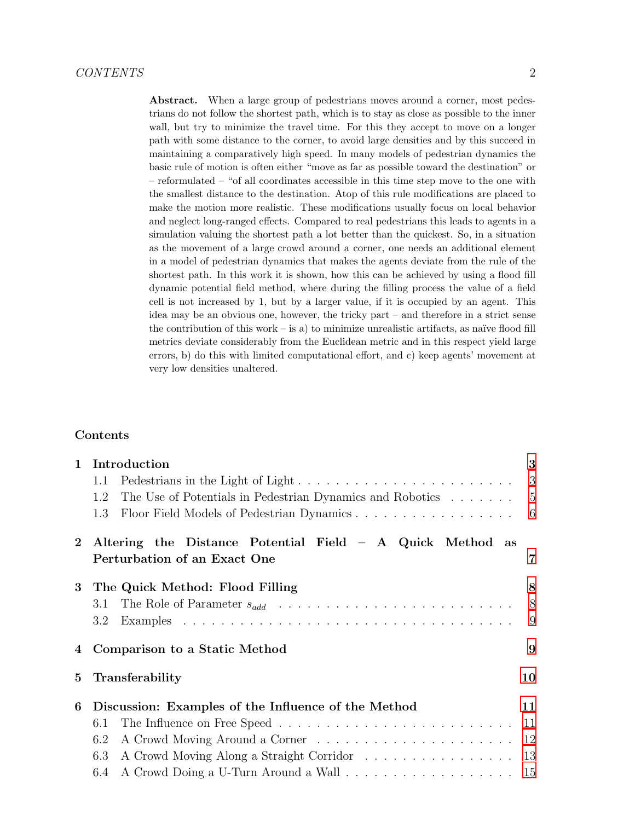Abstract. When a large group of pedestrians moves around a corner, most pedestrians do not follow the shortest path, which is to stay as close as possible to the inner wall, but try to minimize the travel time. For this they accept to move on a longer path with some distance to the corner, to avoid large densities and by this succeed in maintaining a comparatively high speed. In many models of pedestrian dynamics the basic rule of motion is often either "move as far as possible toward the destination" or – reformulated – "of all coordinates accessible in this time step move to the one with the smallest distance to the destination. Atop of this rule modifications are placed to make the motion more realistic. These modifications usually focus on local behavior and neglect long-ranged effects. Compared to real pedestrians this leads to agents in a simulation valuing the shortest path a lot better than the quickest. So, in a situation as the movement of a large crowd around a corner, one needs an additional element in a model of pedestrian dynamics that makes the agents deviate from the rule of the shortest path. In this work it is shown, how this can be achieved by using a flood fill dynamic potential field method, where during the filling process the value of a field cell is not increased by 1, but by a larger value, if it is occupied by an agent. This idea may be an obvious one, however, the tricky part – and therefore in a strict sense the contribution of this work – is a) to minimize unrealistic artifacts, as naïve flood fill metrics deviate considerably from the Euclidean metric and in this respect yield large errors, b) do this with limited computational effort, and c) keep agents' movement at very low densities unaltered.

## Contents

| $\mathbf{1}$   | Introduction                                                       | 3   |
|----------------|--------------------------------------------------------------------|-----|
|                | 1.1                                                                |     |
|                | The Use of Potentials in Pedestrian Dynamics and Robotics 5<br>1.2 |     |
|                | 1.3                                                                |     |
| $\overline{2}$ | Altering the Distance Potential Field $-$ A Quick Method as        |     |
|                | Perturbation of an Exact One                                       | 7   |
| 3              | The Quick Method: Flood Filling                                    | 8   |
|                | 3.1                                                                | 8   |
|                | $3.2\,$                                                            | 9   |
| 4              | Comparison to a Static Method                                      | 9   |
| 5              | Transferability                                                    | 10  |
| 6              | Discussion: Examples of the Influence of the Method                | 11  |
|                | 6.1                                                                | -11 |
|                | $6.2\,$                                                            | 12  |
|                | A Crowd Moving Along a Straight Corridor 13<br>6.3                 |     |
|                | 6.4                                                                |     |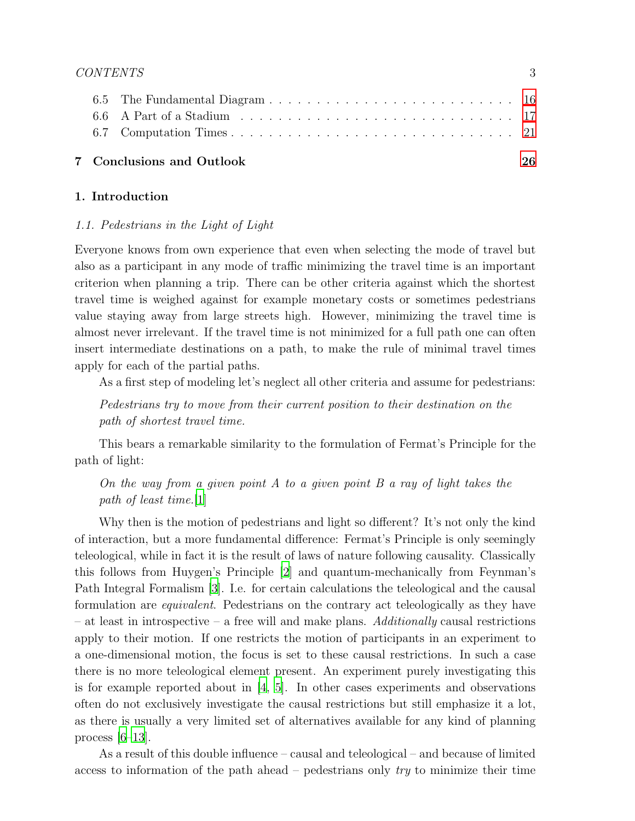|  | 7 Conclusions and Outlook | 26 |
|--|---------------------------|----|
|  |                           |    |
|  |                           |    |
|  |                           |    |
|  |                           |    |

## <span id="page-2-1"></span><span id="page-2-0"></span>1. Introduction

## 1.1. Pedestrians in the Light of Light

Everyone knows from own experience that even when selecting the mode of travel but also as a participant in any mode of traffic minimizing the travel time is an important criterion when planning a trip. There can be other criteria against which the shortest travel time is weighed against for example monetary costs or sometimes pedestrians value staying away from large streets high. However, minimizing the travel time is almost never irrelevant. If the travel time is not minimized for a full path one can often insert intermediate destinations on a path, to make the rule of minimal travel times apply for each of the partial paths.

As a first step of modeling let's neglect all other criteria and assume for pedestrians:

Pedestrians try to move from their current position to their destination on the path of shortest travel time.

This bears a remarkable similarity to the formulation of Fermat's Principle for the path of light:

On the way from a given point A to a given point B a ray of light takes the path of least time.[\[1](#page-26-0)]

Why then is the motion of pedestrians and light so different? It's not only the kind of interaction, but a more fundamental difference: Fermat's Principle is only seemingly teleological, while in fact it is the result of laws of nature following causality. Classically this follows from Huygen's Principle [\[2\]](#page-26-1) and quantum-mechanically from Feynman's Path Integral Formalism [\[3\]](#page-26-2). I.e. for certain calculations the teleological and the causal formulation are equivalent. Pedestrians on the contrary act teleologically as they have – at least in introspective – a free will and make plans. Additionally causal restrictions apply to their motion. If one restricts the motion of participants in an experiment to a one-dimensional motion, the focus is set to these causal restrictions. In such a case there is no more teleological element present. An experiment purely investigating this is for example reported about in  $[4, 5]$  $[4, 5]$  $[4, 5]$ . In other cases experiments and observations often do not exclusively investigate the causal restrictions but still emphasize it a lot, as there is usually a very limited set of alternatives available for any kind of planning process  $[6-13]$ .

As a result of this double influence – causal and teleological – and because of limited access to information of the path ahead – pedestrians only  $try$  to minimize their time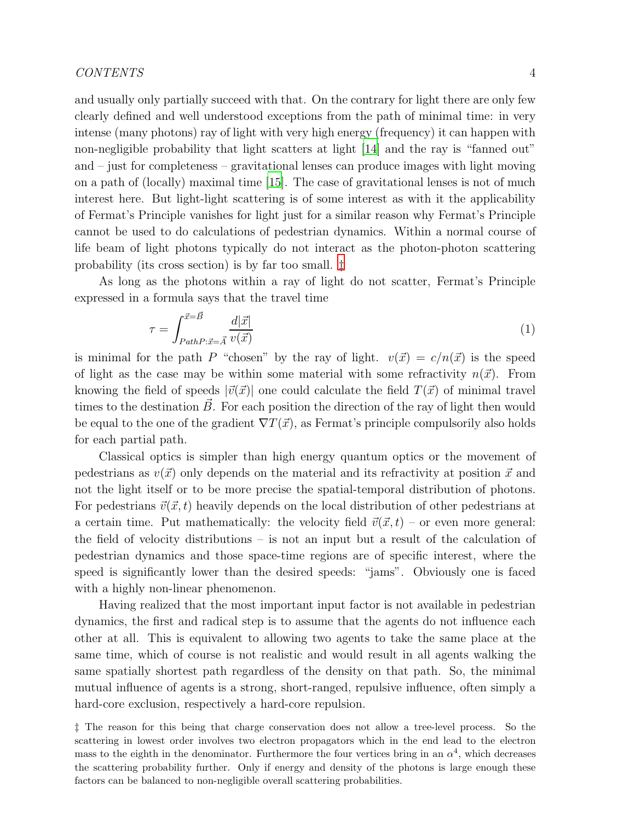and usually only partially succeed with that. On the contrary for light there are only few clearly defined and well understood exceptions from the path of minimal time: in very intense (many photons) ray of light with very high energy (frequency) it can happen with non-negligible probability that light scatters at light [\[14\]](#page-27-1) and the ray is "fanned out" and – just for completeness – gravitational lenses can produce images with light moving on a path of (locally) maximal time [\[15](#page-27-2)]. The case of gravitational lenses is not of much interest here. But light-light scattering is of some interest as with it the applicability of Fermat's Principle vanishes for light just for a similar reason why Fermat's Principle cannot be used to do calculations of pedestrian dynamics. Within a normal course of life beam of light photons typically do not interact as the photon-photon scattering probability (its cross section) is by far too small. [‡](#page-3-0)

As long as the photons within a ray of light do not scatter, Fermat's Principle expressed in a formula says that the travel time

$$
\tau = \int_{PathP: \vec{x} = \vec{A}}^{\vec{x} = \vec{B}} \frac{d|\vec{x}|}{v(\vec{x})}
$$
\n(1)

is minimal for the path P "chosen" by the ray of light.  $v(\vec{x}) = c/n(\vec{x})$  is the speed of light as the case may be within some material with some refractivity  $n(\vec{x})$ . From knowing the field of speeds  $|\vec{v}(\vec{x})|$  one could calculate the field  $T(\vec{x})$  of minimal travel times to the destination  $\vec{B}$ . For each position the direction of the ray of light then would be equal to the one of the gradient  $\nabla T(\vec{x})$ , as Fermat's principle compulsorily also holds for each partial path.

Classical optics is simpler than high energy quantum optics or the movement of pedestrians as  $v(\vec{x})$  only depends on the material and its refractivity at position  $\vec{x}$  and not the light itself or to be more precise the spatial-temporal distribution of photons. For pedestrians  $\vec{v}(\vec{x}, t)$  heavily depends on the local distribution of other pedestrians at a certain time. Put mathematically: the velocity field  $\vec{v}(\vec{x}, t)$  – or even more general: the field of velocity distributions – is not an input but a result of the calculation of pedestrian dynamics and those space-time regions are of specific interest, where the speed is significantly lower than the desired speeds: "jams". Obviously one is faced with a highly non-linear phenomenon.

Having realized that the most important input factor is not available in pedestrian dynamics, the first and radical step is to assume that the agents do not influence each other at all. This is equivalent to allowing two agents to take the same place at the same time, which of course is not realistic and would result in all agents walking the same spatially shortest path regardless of the density on that path. So, the minimal mutual influence of agents is a strong, short-ranged, repulsive influence, often simply a hard-core exclusion, respectively a hard-core repulsion.

<span id="page-3-0"></span>‡ The reason for this being that charge conservation does not allow a tree-level process. So the scattering in lowest order involves two electron propagators which in the end lead to the electron mass to the eighth in the denominator. Furthermore the four vertices bring in an  $\alpha^4$ , which decreases the scattering probability further. Only if energy and density of the photons is large enough these factors can be balanced to non-negligible overall scattering probabilities.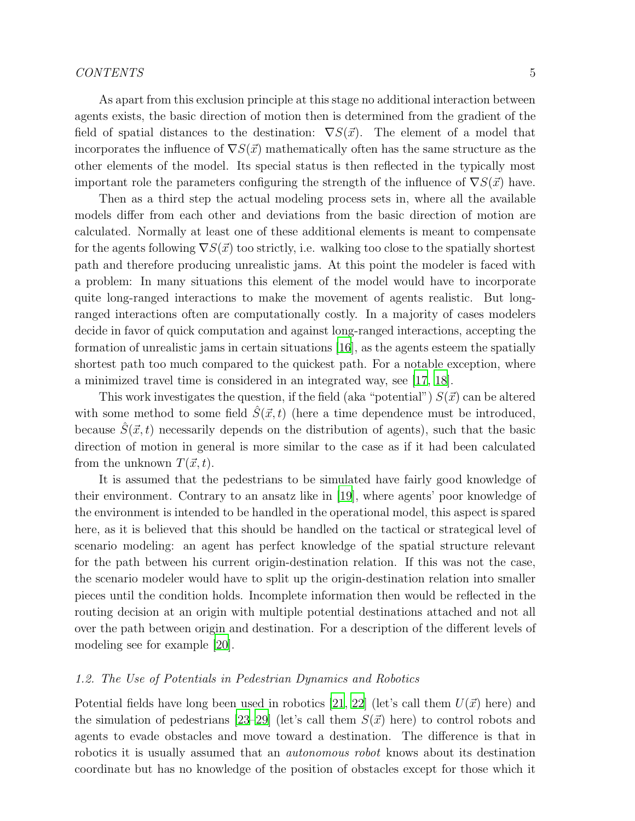As apart from this exclusion principle at this stage no additional interaction between agents exists, the basic direction of motion then is determined from the gradient of the field of spatial distances to the destination:  $\nabla S(\vec{x})$ . The element of a model that incorporates the influence of  $\nabla S(\vec{x})$  mathematically often has the same structure as the other elements of the model. Its special status is then reflected in the typically most important role the parameters configuring the strength of the influence of  $\nabla S(\vec{x})$  have.

Then as a third step the actual modeling process sets in, where all the available models differ from each other and deviations from the basic direction of motion are calculated. Normally at least one of these additional elements is meant to compensate for the agents following  $\nabla S(\vec{x})$  too strictly, i.e. walking too close to the spatially shortest path and therefore producing unrealistic jams. At this point the modeler is faced with a problem: In many situations this element of the model would have to incorporate quite long-ranged interactions to make the movement of agents realistic. But longranged interactions often are computationally costly. In a majority of cases modelers decide in favor of quick computation and against long-ranged interactions, accepting the formation of unrealistic jams in certain situations [\[16\]](#page-27-3), as the agents esteem the spatially shortest path too much compared to the quickest path. For a notable exception, where a minimized travel time is considered in an integrated way, see [\[17](#page-27-4), [18](#page-27-5)].

This work investigates the question, if the field (aka "potential")  $S(\vec{x})$  can be altered with some method to some field  $\hat{S}(\vec{x}, t)$  (here a time dependence must be introduced, because  $\hat{S}(\vec{x}, t)$  necessarily depends on the distribution of agents), such that the basic direction of motion in general is more similar to the case as if it had been calculated from the unknown  $T(\vec{x}, t)$ .

It is assumed that the pedestrians to be simulated have fairly good knowledge of their environment. Contrary to an ansatz like in [\[19\]](#page-27-6), where agents' poor knowledge of the environment is intended to be handled in the operational model, this aspect is spared here, as it is believed that this should be handled on the tactical or strategical level of scenario modeling: an agent has perfect knowledge of the spatial structure relevant for the path between his current origin-destination relation. If this was not the case, the scenario modeler would have to split up the origin-destination relation into smaller pieces until the condition holds. Incomplete information then would be reflected in the routing decision at an origin with multiple potential destinations attached and not all over the path between origin and destination. For a description of the different levels of modeling see for example [\[20\]](#page-27-7).

## <span id="page-4-0"></span>1.2. The Use of Potentials in Pedestrian Dynamics and Robotics

Potential fields have long been used in robotics [\[21](#page-27-8), [22](#page-27-9)] (let's call them  $U(\vec{x})$  here) and the simulation of pedestrians [\[23](#page-27-10)[–29\]](#page-28-0) (let's call them  $S(\vec{x})$  here) to control robots and agents to evade obstacles and move toward a destination. The difference is that in robotics it is usually assumed that an autonomous robot knows about its destination coordinate but has no knowledge of the position of obstacles except for those which it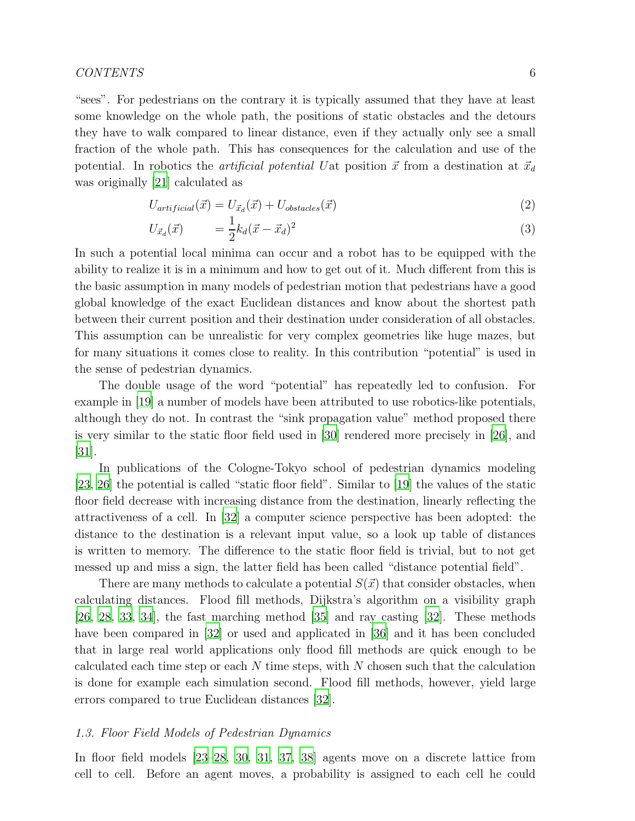"sees". For pedestrians on the contrary it is typically assumed that they have at least some knowledge on the whole path, the positions of static obstacles and the detours they have to walk compared to linear distance, even if they actually only see a small fraction of the whole path. This has consequences for the calculation and use of the potential. In robotics the *artificial potential Uat* position  $\vec{x}$  from a destination at  $\vec{x}_d$ was originally [\[21](#page-27-8)] calculated as

$$
U_{artificial}(\vec{x}) = U_{\vec{x}_d}(\vec{x}) + U_{obstacles}(\vec{x})
$$
\n<sup>(2)</sup>

$$
U_{\vec{x}_d}(\vec{x}) \qquad = \frac{1}{2} k_d (\vec{x} - \vec{x}_d)^2 \tag{3}
$$

In such a potential local minima can occur and a robot has to be equipped with the ability to realize it is in a minimum and how to get out of it. Much different from this is the basic assumption in many models of pedestrian motion that pedestrians have a good global knowledge of the exact Euclidean distances and know about the shortest path between their current position and their destination under consideration of all obstacles. This assumption can be unrealistic for very complex geometries like huge mazes, but for many situations it comes close to reality. In this contribution "potential" is used in the sense of pedestrian dynamics.

The double usage of the word "potential" has repeatedly led to confusion. For example in [\[19\]](#page-27-6) a number of models have been attributed to use robotics-like potentials, although they do not. In contrast the "sink propagation value" method proposed there is very similar to the static floor field used in [\[30\]](#page-28-1) rendered more precisely in [\[26](#page-28-2)], and [\[31](#page-28-3)].

In publications of the Cologne-Tokyo school of pedestrian dynamics modeling [\[23](#page-27-10), [26\]](#page-28-2) the potential is called "static floor field". Similar to [\[19\]](#page-27-6) the values of the static floor field decrease with increasing distance from the destination, linearly reflecting the attractiveness of a cell. In [\[32](#page-28-4)] a computer science perspective has been adopted: the distance to the destination is a relevant input value, so a look up table of distances is written to memory. The difference to the static floor field is trivial, but to not get messed up and miss a sign, the latter field has been called "distance potential field".

There are many methods to calculate a potential  $S(\vec{x})$  that consider obstacles, when calculating distances. Flood fill methods, Dijkstra's algorithm on a visibility graph [\[26,](#page-28-2) [28](#page-28-5), [33](#page-28-6), [34](#page-28-7)], the fast marching method [\[35\]](#page-28-8) and ray casting [\[32\]](#page-28-4). These methods have been compared in [\[32\]](#page-28-4) or used and applicated in [\[36](#page-28-9)] and it has been concluded that in large real world applications only flood fill methods are quick enough to be calculated each time step or each  $N$  time steps, with  $N$  chosen such that the calculation is done for example each simulation second. Flood fill methods, however, yield large errors compared to true Euclidean distances [\[32\]](#page-28-4).

## <span id="page-5-0"></span>1.3. Floor Field Models of Pedestrian Dynamics

In floor field models [\[23](#page-27-10)[–28](#page-28-5), [30](#page-28-1), [31](#page-28-3), [37](#page-29-0), [38](#page-29-1)] agents move on a discrete lattice from cell to cell. Before an agent moves, a probability is assigned to each cell he could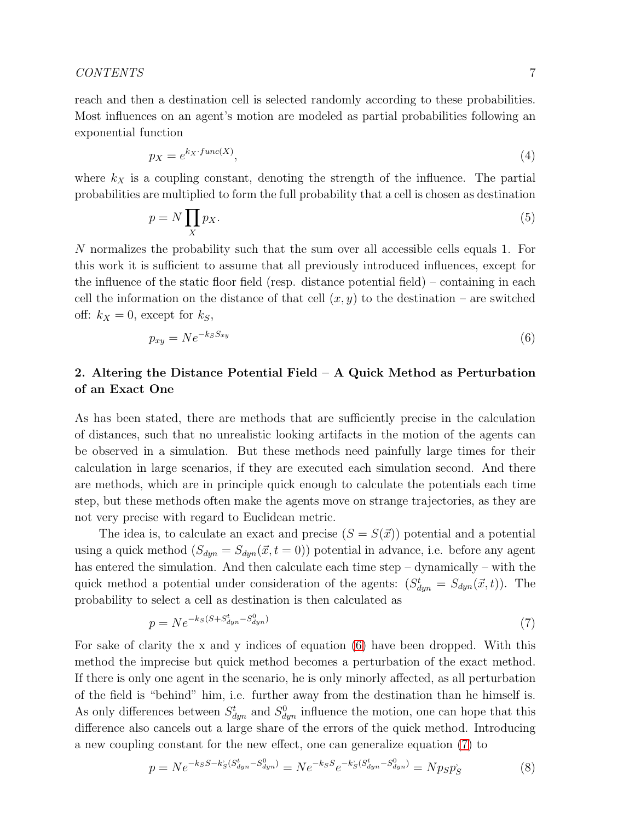reach and then a destination cell is selected randomly according to these probabilities. Most influences on an agent's motion are modeled as partial probabilities following an exponential function

$$
p_X = e^{k_X \cdot func(X)},\tag{4}
$$

where  $k_X$  is a coupling constant, denoting the strength of the influence. The partial probabilities are multiplied to form the full probability that a cell is chosen as destination

$$
p = N \prod_{X} p_X. \tag{5}
$$

N normalizes the probability such that the sum over all accessible cells equals 1. For this work it is sufficient to assume that all previously introduced influences, except for the influence of the static floor field (resp. distance potential field) – containing in each cell the information on the distance of that cell  $(x, y)$  to the destination – are switched off:  $k_X = 0$ , except for  $k_S$ ,

<span id="page-6-1"></span>
$$
p_{xy} = N e^{-k_S S_{xy}} \tag{6}
$$

## <span id="page-6-0"></span>2. Altering the Distance Potential Field – A Quick Method as Perturbation of an Exact One

As has been stated, there are methods that are sufficiently precise in the calculation of distances, such that no unrealistic looking artifacts in the motion of the agents can be observed in a simulation. But these methods need painfully large times for their calculation in large scenarios, if they are executed each simulation second. And there are methods, which are in principle quick enough to calculate the potentials each time step, but these methods often make the agents move on strange trajectories, as they are not very precise with regard to Euclidean metric.

The idea is, to calculate an exact and precise  $(S = S(\vec{x}))$  potential and a potential using a quick method  $(S_{dyn} = S_{dyn}(\vec{x}, t = 0))$  potential in advance, i.e. before any agent has entered the simulation. And then calculate each time step – dynamically – with the quick method a potential under consideration of the agents:  $(S_{dyn}^t = S_{dyn}(\vec{x}, t))$ . The probability to select a cell as destination is then calculated as

<span id="page-6-2"></span>
$$
p = Ne^{-k_S(S+S_{dyn}^t - S_{dyn}^0)}
$$
\n
$$
\tag{7}
$$

For sake of clarity the x and y indices of equation [\(6\)](#page-6-1) have been dropped. With this method the imprecise but quick method becomes a perturbation of the exact method. If there is only one agent in the scenario, he is only minorly affected, as all perturbation of the field is "behind" him, i.e. further away from the destination than he himself is. As only differences between  $S_{dyn}^t$  and  $S_{dyn}^0$  influence the motion, one can hope that this difference also cancels out a large share of the errors of the quick method. Introducing a new coupling constant for the new effect, one can generalize equation [\(7\)](#page-6-2) to

$$
p = Ne^{-k_S S - k_S^* (S_{dyn}^t - S_{dyn}^0)} = Ne^{-k_S S} e^{-k_S^* (S_{dyn}^t - S_{dyn}^0)} = N p_S p_S^* \tag{8}
$$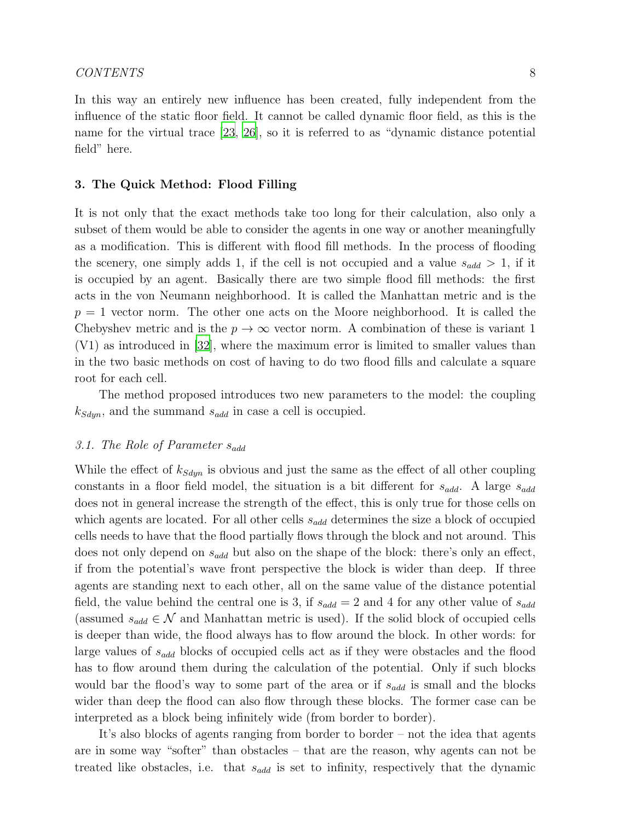In this way an entirely new influence has been created, fully independent from the influence of the static floor field. It cannot be called dynamic floor field, as this is the name for the virtual trace [\[23,](#page-27-10) [26](#page-28-2)], so it is referred to as "dynamic distance potential field" here.

## <span id="page-7-0"></span>3. The Quick Method: Flood Filling

It is not only that the exact methods take too long for their calculation, also only a subset of them would be able to consider the agents in one way or another meaningfully as a modification. This is different with flood fill methods. In the process of flooding the scenery, one simply adds 1, if the cell is not occupied and a value  $s_{add} > 1$ , if it is occupied by an agent. Basically there are two simple flood fill methods: the first acts in the von Neumann neighborhood. It is called the Manhattan metric and is the  $p = 1$  vector norm. The other one acts on the Moore neighborhood. It is called the Chebyshev metric and is the  $p \to \infty$  vector norm. A combination of these is variant 1 (V1) as introduced in [\[32](#page-28-4)], where the maximum error is limited to smaller values than in the two basic methods on cost of having to do two flood fills and calculate a square root for each cell.

The method proposed introduces two new parameters to the model: the coupling  $k_{Sdyn}$ , and the summand  $s_{add}$  in case a cell is occupied.

### <span id="page-7-1"></span>3.1. The Role of Parameter  $s_{add}$

While the effect of  $k_{Sdyn}$  is obvious and just the same as the effect of all other coupling constants in a floor field model, the situation is a bit different for  $s_{add}$ . A large  $s_{add}$ does not in general increase the strength of the effect, this is only true for those cells on which agents are located. For all other cells  $s_{add}$  determines the size a block of occupied cells needs to have that the flood partially flows through the block and not around. This does not only depend on  $s_{add}$  but also on the shape of the block: there's only an effect, if from the potential's wave front perspective the block is wider than deep. If three agents are standing next to each other, all on the same value of the distance potential field, the value behind the central one is 3, if  $s_{add} = 2$  and 4 for any other value of  $s_{add}$ (assumed  $s_{add} \in \mathcal{N}$  and Manhattan metric is used). If the solid block of occupied cells is deeper than wide, the flood always has to flow around the block. In other words: for large values of  $s_{add}$  blocks of occupied cells act as if they were obstacles and the flood has to flow around them during the calculation of the potential. Only if such blocks would bar the flood's way to some part of the area or if  $s_{add}$  is small and the blocks wider than deep the flood can also flow through these blocks. The former case can be interpreted as a block being infinitely wide (from border to border).

It's also blocks of agents ranging from border to border – not the idea that agents are in some way "softer" than obstacles – that are the reason, why agents can not be treated like obstacles, i.e. that  $s_{add}$  is set to infinity, respectively that the dynamic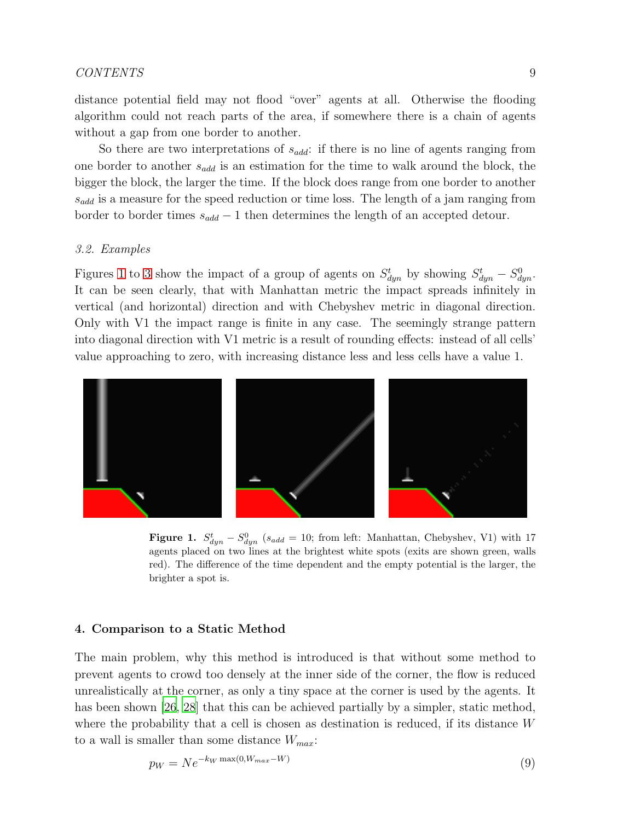## CONTENTS 9

distance potential field may not flood "over" agents at all. Otherwise the flooding algorithm could not reach parts of the area, if somewhere there is a chain of agents without a gap from one border to another.

So there are two interpretations of  $s_{add}$ : if there is no line of agents ranging from one border to another  $s_{add}$  is an estimation for the time to walk around the block, the bigger the block, the larger the time. If the block does range from one border to another  $s_{add}$  is a measure for the speed reduction or time loss. The length of a jam ranging from border to border times  $s_{add} - 1$  then determines the length of an accepted detour.

#### <span id="page-8-0"></span>3.2. Examples

Figures [1](#page-8-2) to [3](#page-9-1) show the impact of a group of agents on  $S_{dyn}^t$  by showing  $S_{dyn}^t - S_{dyn}^0$ . It can be seen clearly, that with Manhattan metric the impact spreads infinitely in vertical (and horizontal) direction and with Chebyshev metric in diagonal direction. Only with V1 the impact range is finite in any case. The seemingly strange pattern into diagonal direction with V1 metric is a result of rounding effects: instead of all cells' value approaching to zero, with increasing distance less and less cells have a value 1.



<span id="page-8-2"></span>**Figure 1.**  $S_{dyn}^t - S_{dyn}^0$  (s<sub>add</sub> = 10; from left: Manhattan, Chebyshev, V1) with 17 agents placed on two lines at the brightest white spots (exits are shown green, walls red). The difference of the time dependent and the empty potential is the larger, the brighter a spot is.

#### <span id="page-8-1"></span>4. Comparison to a Static Method

The main problem, why this method is introduced is that without some method to prevent agents to crowd too densely at the inner side of the corner, the flow is reduced unrealistically at the corner, as only a tiny space at the corner is used by the agents. It has been shown [\[26](#page-28-2), [28\]](#page-28-5) that this can be achieved partially by a simpler, static method, where the probability that a cell is chosen as destination is reduced, if its distance  $W$ to a wall is smaller than some distance  $W_{max}$ :

$$
p_W = N e^{-k_W \max(0, W_{max} - W)} \tag{9}
$$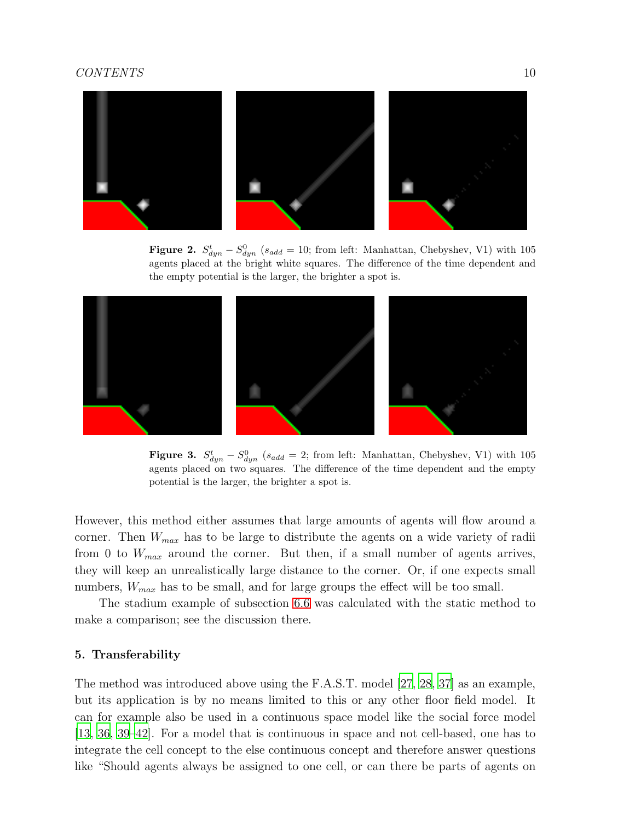

**Figure 2.**  $S_{dyn}^t - S_{dyn}^0$  ( $s_{add} = 10$ ; from left: Manhattan, Chebyshev, V1) with 105 agents placed at the bright white squares. The difference of the time dependent and the empty potential is the larger, the brighter a spot is.



<span id="page-9-1"></span>**Figure 3.**  $S_{dyn}^t - S_{dyn}^0$  (s<sub>add</sub> = 2; from left: Manhattan, Chebyshev, V1) with 105 agents placed on two squares. The difference of the time dependent and the empty potential is the larger, the brighter a spot is.

However, this method either assumes that large amounts of agents will flow around a corner. Then  $W_{max}$  has to be large to distribute the agents on a wide variety of radii from 0 to  $W_{max}$  around the corner. But then, if a small number of agents arrives, they will keep an unrealistically large distance to the corner. Or, if one expects small numbers,  $W_{max}$  has to be small, and for large groups the effect will be too small.

The stadium example of subsection [6.6](#page-16-0) was calculated with the static method to make a comparison; see the discussion there.

## <span id="page-9-0"></span>5. Transferability

The method was introduced above using the F.A.S.T. model [\[27,](#page-28-10) [28,](#page-28-5) [37\]](#page-29-0) as an example, but its application is by no means limited to this or any other floor field model. It can for example also be used in a continuous space model like the social force model [\[13,](#page-27-0) [36](#page-28-9), [39](#page-29-2)[–42\]](#page-29-3). For a model that is continuous in space and not cell-based, one has to integrate the cell concept to the else continuous concept and therefore answer questions like "Should agents always be assigned to one cell, or can there be parts of agents on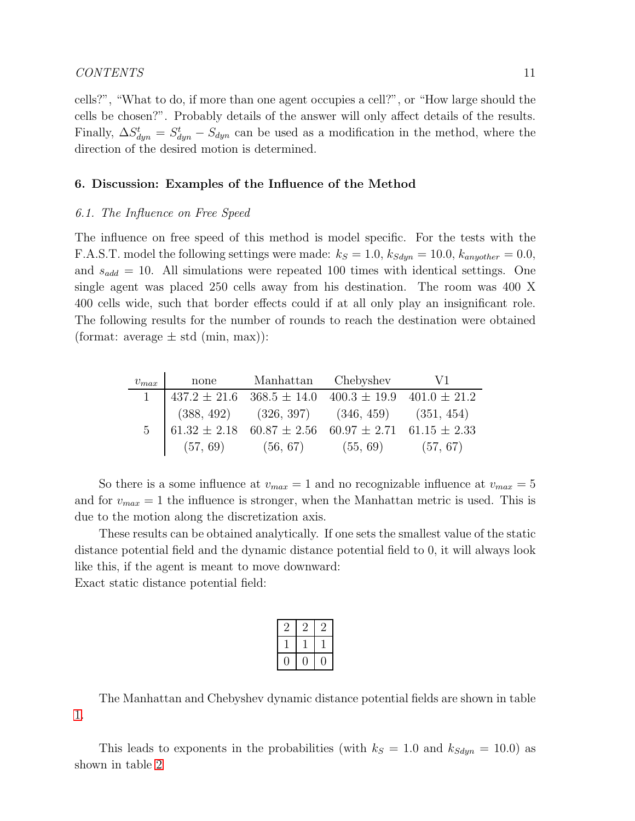## CONTENTS 11

cells?", "What to do, if more than one agent occupies a cell?", or "How large should the cells be chosen?". Probably details of the answer will only affect details of the results. Finally,  $\Delta S_{dyn}^t = S_{dyn}^t - S_{dyn}$  can be used as a modification in the method, where the direction of the desired motion is determined.

## <span id="page-10-1"></span><span id="page-10-0"></span>6. Discussion: Examples of the Influence of the Method

#### 6.1. The Influence on Free Speed

The influence on free speed of this method is model specific. For the tests with the F.A.S.T. model the following settings were made:  $k_S = 1.0$ ,  $k_{Sdyn} = 10.0$ ,  $k_{anyother} = 0.0$ , and  $s_{add} = 10$ . All simulations were repeated 100 times with identical settings. One single agent was placed 250 cells away from his destination. The room was 400 X 400 cells wide, such that border effects could if at all only play an insignificant role. The following results for the number of rounds to reach the destination were obtained (format: average  $\pm$  std (min, max)):

| $v_{max}$ | none | Manhattan Chebyshev                                                                                                                                                  | V1 |
|-----------|------|----------------------------------------------------------------------------------------------------------------------------------------------------------------------|----|
|           |      | 1   $437.2 \pm 21.6$ $368.5 \pm 14.0$ $400.3 \pm 19.9$ $401.0 \pm 21.2$                                                                                              |    |
|           |      | $\begin{array}{ l} \n \begin{array}{c}\n (388, 492) & (326, 397) \\  61.32 \pm 2.18 & 60.87 \pm 2.56 & 60.97 \pm 2.71 & 61.15 \pm 2.33 \n \end{array}\n \end{array}$ |    |
|           |      |                                                                                                                                                                      |    |
|           |      | $(57, 69)$ $(56, 67)$ $(55, 69)$ $(57, 67)$                                                                                                                          |    |

So there is a some influence at  $v_{max} = 1$  and no recognizable influence at  $v_{max} = 5$ and for  $v_{max} = 1$  the influence is stronger, when the Manhattan metric is used. This is due to the motion along the discretization axis.

These results can be obtained analytically. If one sets the smallest value of the static distance potential field and the dynamic distance potential field to 0, it will always look like this, if the agent is meant to move downward:

Exact static distance potential field:

| $\overline{2}$ | ٠, | ٠, |
|----------------|----|----|
|                |    |    |
|                |    |    |

The Manhattan and Chebyshev dynamic distance potential fields are shown in table [1.](#page-11-1)

This leads to exponents in the probabilities (with  $k_S = 1.0$  and  $k_{Sdyn} = 10.0$ ) as shown in table [2](#page-11-2)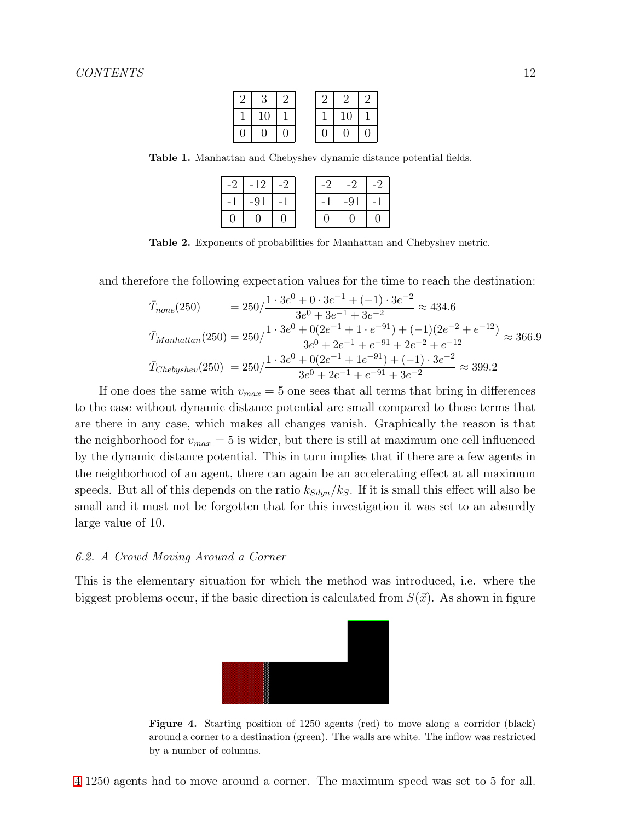| 2        | 3  | c        |   |    |  |
|----------|----|----------|---|----|--|
|          | 10 |          |   | 10 |  |
| $\theta$ | 0  | $\theta$ | 0 | 0  |  |

Table 1. Manhattan and Chebyshev dynamic distance potential fields.

<span id="page-11-1"></span>

| $-2$ | $-12$ | $-2$ | $-2$ | -2    |  |
|------|-------|------|------|-------|--|
| $-1$ | $-91$ |      | - 1  | $-91$ |  |
|      |       |      |      |       |  |

<span id="page-11-2"></span>Table 2. Exponents of probabilities for Manhattan and Chebyshev metric.

and therefore the following expectation values for the time to reach the destination:

$$
\begin{aligned}\n\bar{T}_{none}(250) &= 250 \cdot \frac{1 \cdot 3e^0 + 0 \cdot 3e^{-1} + (-1) \cdot 3e^{-2}}{3e^0 + 3e^{-1} + 3e^{-2}} \approx 434.6 \\
\bar{T}_{Manhattan}(250) &= 250 \cdot \frac{1 \cdot 3e^0 + 0(2e^{-1} + 1 \cdot e^{-91}) + (-1)(2e^{-2} + e^{-12})}{3e^0 + 2e^{-1} + e^{-91} + 2e^{-2} + e^{-12}} \approx 366.9 \\
\bar{T}_{Chebyshev}(250) &= 250 \cdot \frac{1 \cdot 3e^0 + 0(2e^{-1} + 1e^{-91}) + (-1) \cdot 3e^{-2}}{3e^0 + 2e^{-1} + e^{-91} + 3e^{-2}} \approx 399.2\n\end{aligned}
$$

If one does the same with  $v_{max} = 5$  one sees that all terms that bring in differences to the case without dynamic distance potential are small compared to those terms that are there in any case, which makes all changes vanish. Graphically the reason is that the neighborhood for  $v_{max} = 5$  is wider, but there is still at maximum one cell influenced by the dynamic distance potential. This in turn implies that if there are a few agents in the neighborhood of an agent, there can again be an accelerating effect at all maximum speeds. But all of this depends on the ratio  $k_{Sdm}/k_S$ . If it is small this effect will also be small and it must not be forgotten that for this investigation it was set to an absurdly large value of 10.

## <span id="page-11-0"></span>6.2. A Crowd Moving Around a Corner

This is the elementary situation for which the method was introduced, i.e. where the biggest problems occur, if the basic direction is calculated from  $S(\vec{x})$ . As shown in figure



<span id="page-11-3"></span>Figure 4. Starting position of 1250 agents (red) to move along a corridor (black) around a corner to a destination (green). The walls are white. The inflow was restricted by a number of columns.

[4](#page-11-3) 1250 agents had to move around a corner. The maximum speed was set to 5 for all.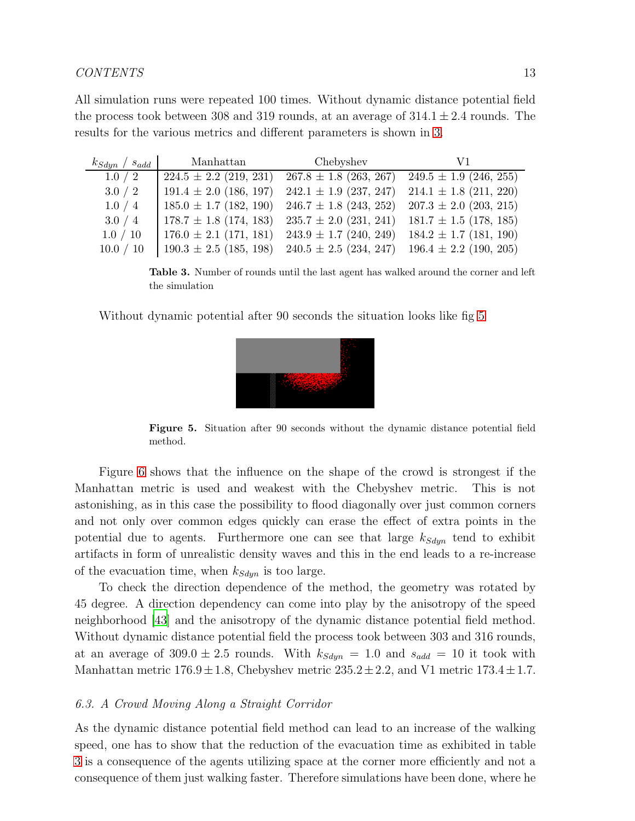All simulation runs were repeated 100 times. Without dynamic distance potential field the process took between 308 and 319 rounds, at an average of  $314.1 \pm 2.4$  rounds. The results for the various metrics and different parameters is shown in [3.](#page-12-1)

| $k_{Sdyn}$ / $s_{add}$ | Manhattan                  | Chebyshev                  | V1                         |
|------------------------|----------------------------|----------------------------|----------------------------|
| 1.0 / 2                | $224.5 \pm 2.2$ (219, 231) | $267.8 \pm 1.8$ (263, 267) | $249.5 \pm 1.9$ (246, 255) |
| 3.0 / 2                | $191.4 \pm 2.0$ (186, 197) | $242.1 \pm 1.9$ (237, 247) | $214.1 \pm 1.8$ (211, 220) |
| 1.0 / 4                | $185.0 \pm 1.7$ (182, 190) | $246.7 \pm 1.8$ (243, 252) | $207.3 \pm 2.0$ (203, 215) |
| 3.0 / 4                | $178.7 \pm 1.8$ (174, 183) | $235.7 \pm 2.0$ (231, 241) | $181.7 \pm 1.5$ (178, 185) |
| 1.0 / 10               | $176.0 \pm 2.1$ (171, 181) | $243.9 \pm 1.7$ (240, 249) | $184.2 \pm 1.7$ (181, 190) |
| 10.0 / 10              | $190.3 \pm 2.5$ (185, 198) | $240.5 \pm 2.5$ (234, 247) | $196.4 \pm 2.2$ (190, 205) |

<span id="page-12-1"></span>Table 3. Number of rounds until the last agent has walked around the corner and left the simulation

Without dynamic potential after 90 seconds the situation looks like fig [5](#page-12-2)



<span id="page-12-2"></span>Figure 5. Situation after 90 seconds without the dynamic distance potential field method.

Figure [6](#page-13-0) shows that the influence on the shape of the crowd is strongest if the Manhattan metric is used and weakest with the Chebyshev metric. This is not astonishing, as in this case the possibility to flood diagonally over just common corners and not only over common edges quickly can erase the effect of extra points in the potential due to agents. Furthermore one can see that large  $k_{Sdyn}$  tend to exhibit artifacts in form of unrealistic density waves and this in the end leads to a re-increase of the evacuation time, when  $k_{Sdyn}$  is too large.

To check the direction dependence of the method, the geometry was rotated by 45 degree. A direction dependency can come into play by the anisotropy of the speed neighborhood [\[43](#page-29-4)] and the anisotropy of the dynamic distance potential field method. Without dynamic distance potential field the process took between 303 and 316 rounds, at an average of  $309.0 \pm 2.5$  rounds. With  $k_{Sdyn} = 1.0$  and  $s_{add} = 10$  it took with Manhattan metric  $176.9 \pm 1.8$ , Chebyshev metric  $235.2 \pm 2.2$ , and V1 metric  $173.4 \pm 1.7$ .

## <span id="page-12-0"></span>6.3. A Crowd Moving Along a Straight Corridor

As the dynamic distance potential field method can lead to an increase of the walking speed, one has to show that the reduction of the evacuation time as exhibited in table [3](#page-12-1) is a consequence of the agents utilizing space at the corner more efficiently and not a consequence of them just walking faster. Therefore simulations have been done, where he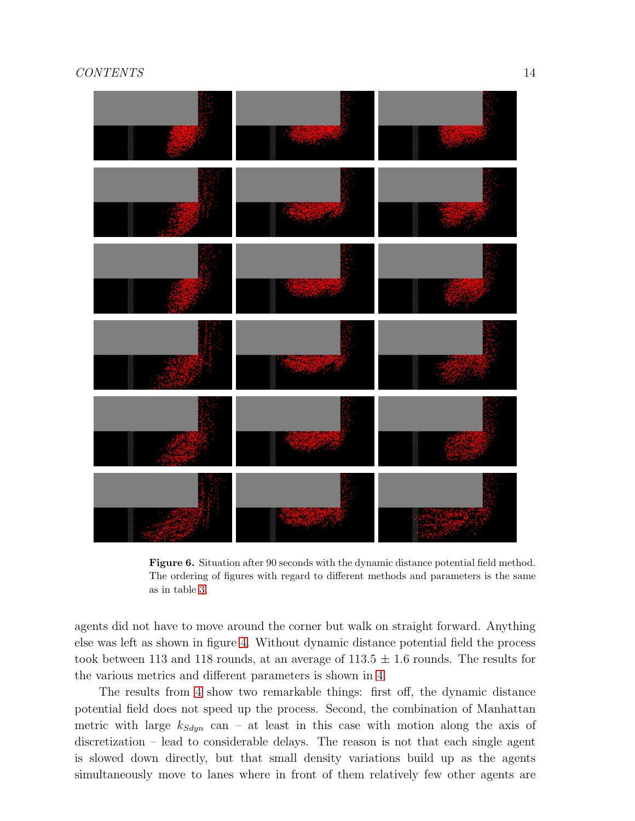

<span id="page-13-0"></span>Figure 6. Situation after 90 seconds with the dynamic distance potential field method. The ordering of figures with regard to different methods and parameters is the same as in table [3.](#page-12-1)

agents did not have to move around the corner but walk on straight forward. Anything else was left as shown in figure [4.](#page-11-3) Without dynamic distance potential field the process took between 113 and 118 rounds, at an average of  $113.5 \pm 1.6$  rounds. The results for the various metrics and different parameters is shown in [4.](#page-14-1)

The results from [4](#page-14-1) show two remarkable things: first off, the dynamic distance potential field does not speed up the process. Second, the combination of Manhattan metric with large  $k_{Sdm}$  can – at least in this case with motion along the axis of discretization – lead to considerable delays. The reason is not that each single agent is slowed down directly, but that small density variations build up as the agents simultaneously move to lanes where in front of them relatively few other agents are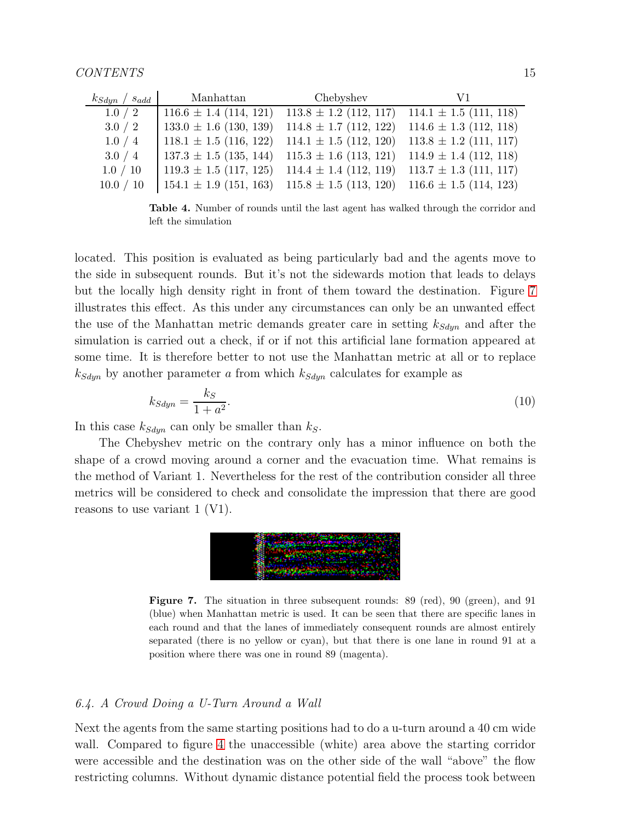| $k_{Sdyn}$ / $s_{add}$ | Manhattan                    | Chebyshev                  | V1                         |
|------------------------|------------------------------|----------------------------|----------------------------|
| 1.0 / 2                | $116.6 \pm 1.4 \ (114, 121)$ | $113.8 \pm 1.2$ (112, 117) | $114.1 \pm 1.5$ (111, 118) |
| 3.0 / 2                | $133.0 \pm 1.6$ (130, 139)   | $114.8 \pm 1.7$ (112, 122) | $114.6 \pm 1.3$ (112, 118) |
| 1.0 / 4                | $118.1 \pm 1.5$ (116, 122)   | $114.1 \pm 1.5$ (112, 120) | $113.8 \pm 1.2$ (111, 117) |
| 3.0 / 4                | $137.3 \pm 1.5$ (135, 144)   | $115.3 \pm 1.6$ (113, 121) | $114.9 \pm 1.4$ (112, 118) |
| 1.0 / 10               | $119.3 \pm 1.5$ (117, 125)   | $114.4 \pm 1.4$ (112, 119) | $113.7 \pm 1.3$ (111, 117) |
| 10.0 / 10              | $154.1 \pm 1.9$ (151, 163)   | $115.8 \pm 1.5$ (113, 120) | $116.6 \pm 1.5$ (114, 123) |

<span id="page-14-1"></span>Table 4. Number of rounds until the last agent has walked through the corridor and left the simulation

located. This position is evaluated as being particularly bad and the agents move to the side in subsequent rounds. But it's not the sidewards motion that leads to delays but the locally high density right in front of them toward the destination. Figure [7](#page-14-2) illustrates this effect. As this under any circumstances can only be an unwanted effect the use of the Manhattan metric demands greater care in setting  $k_{Sdyn}$  and after the simulation is carried out a check, if or if not this artificial lane formation appeared at some time. It is therefore better to not use the Manhattan metric at all or to replace  $k_{Sdyn}$  by another parameter a from which  $k_{Sdyn}$  calculates for example as

$$
k_{Sdyn} = \frac{k_S}{1 + a^2}.\tag{10}
$$

In this case  $k_{Sdyn}$  can only be smaller than  $k_S$ .

The Chebyshev metric on the contrary only has a minor influence on both the shape of a crowd moving around a corner and the evacuation time. What remains is the method of Variant 1. Nevertheless for the rest of the contribution consider all three metrics will be considered to check and consolidate the impression that there are good reasons to use variant 1 (V1).



<span id="page-14-2"></span>Figure 7. The situation in three subsequent rounds: 89 (red), 90 (green), and 91 (blue) when Manhattan metric is used. It can be seen that there are specific lanes in each round and that the lanes of immediately consequent rounds are almost entirely separated (there is no yellow or cyan), but that there is one lane in round 91 at a position where there was one in round 89 (magenta).

## <span id="page-14-0"></span>6.4. A Crowd Doing a U-Turn Around a Wall

Next the agents from the same starting positions had to do a u-turn around a 40 cm wide wall. Compared to figure [4](#page-11-3) the unaccessible (white) area above the starting corridor were accessible and the destination was on the other side of the wall "above" the flow restricting columns. Without dynamic distance potential field the process took between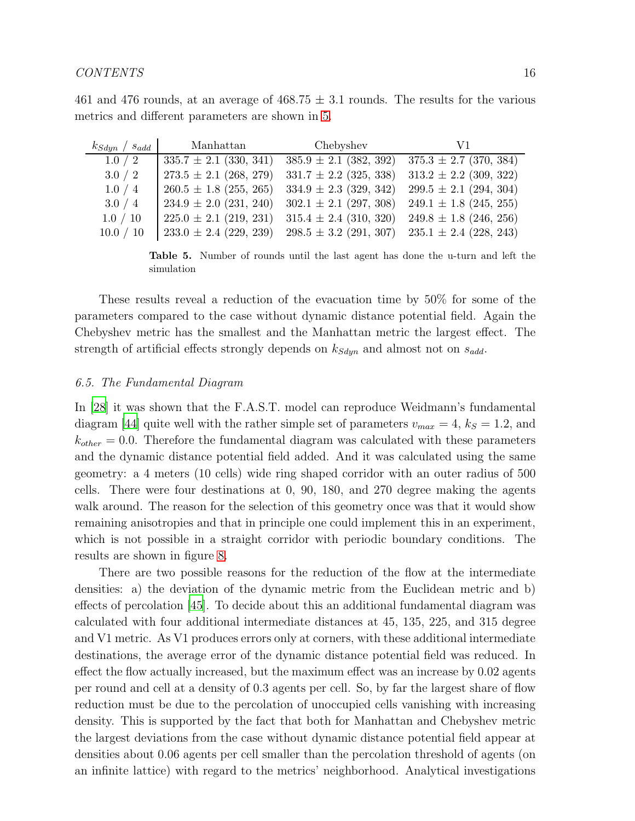| $k_{Sdyn}$ / $s_{add}$ | Manhattan                                                                                                    | Chebyshev | V 1 |
|------------------------|--------------------------------------------------------------------------------------------------------------|-----------|-----|
| 1.0 / 2                | $\left(335.7 \pm 2.1 \ (330, 341) \quad 385.9 \pm 2.1 \ (382, 392) \quad 375.3 \pm 2.7 \ (370, 384) \right)$ |           |     |
|                        | $\{273.5 \pm 2.1 \ (268, 279) \ \ 331.7 \pm 2.2 \ (325, 338) \ \ 313.2 \pm 2.2 \ (309, 322)$                 |           |     |

461 and 476 rounds, at an average of 468.75  $\pm$  3.1 rounds. The results for the various metrics and different parameters are shown in [5.](#page-15-1)

| 1.0 / 2   | $335.7 \pm 2.1$ (330, 341) | $385.9 \pm 2.1$ (382, 392) | $375.3 \pm 2.7$ (370, 384) |
|-----------|----------------------------|----------------------------|----------------------------|
| 3.0 / 2   | $273.5 \pm 2.1$ (268, 279) | $331.7 \pm 2.2$ (325, 338) | $313.2 \pm 2.2$ (309, 322) |
| 1.0 / 4   | $260.5 \pm 1.8$ (255, 265) | $334.9 \pm 2.3$ (329, 342) | $299.5 \pm 2.1$ (294, 304) |
| 3.0 / 4   | $234.9 \pm 2.0$ (231, 240) | $302.1 \pm 2.1$ (297, 308) | $249.1 \pm 1.8$ (245, 255) |
| 1.0 / 10  | $225.0 \pm 2.1$ (219, 231) | $315.4 \pm 2.4$ (310, 320) | $249.8 \pm 1.8$ (246, 256) |
| 10.0 / 10 | $233.0 \pm 2.4$ (229, 239) | $298.5 \pm 3.2$ (291, 307) | $235.1 \pm 2.4$ (228, 243) |

<span id="page-15-1"></span>Table 5. Number of rounds until the last agent has done the u-turn and left the simulation

These results reveal a reduction of the evacuation time by 50% for some of the parameters compared to the case without dynamic distance potential field. Again the Chebyshev metric has the smallest and the Manhattan metric the largest effect. The strength of artificial effects strongly depends on  $k_{Sdyn}$  and almost not on  $s_{add}$ .

## <span id="page-15-0"></span>6.5. The Fundamental Diagram

In [\[28\]](#page-28-5) it was shown that the F.A.S.T. model can reproduce Weidmann's fundamental diagram [\[44\]](#page-29-5) quite well with the rather simple set of parameters  $v_{max} = 4$ ,  $k_S = 1.2$ , and  $k_{other} = 0.0$ . Therefore the fundamental diagram was calculated with these parameters and the dynamic distance potential field added. And it was calculated using the same geometry: a 4 meters (10 cells) wide ring shaped corridor with an outer radius of 500 cells. There were four destinations at 0, 90, 180, and 270 degree making the agents walk around. The reason for the selection of this geometry once was that it would show remaining anisotropies and that in principle one could implement this in an experiment, which is not possible in a straight corridor with periodic boundary conditions. The results are shown in figure [8.](#page-16-1)

There are two possible reasons for the reduction of the flow at the intermediate densities: a) the deviation of the dynamic metric from the Euclidean metric and b) effects of percolation [\[45](#page-29-6)]. To decide about this an additional fundamental diagram was calculated with four additional intermediate distances at 45, 135, 225, and 315 degree and V1 metric. As V1 produces errors only at corners, with these additional intermediate destinations, the average error of the dynamic distance potential field was reduced. In effect the flow actually increased, but the maximum effect was an increase by 0.02 agents per round and cell at a density of 0.3 agents per cell. So, by far the largest share of flow reduction must be due to the percolation of unoccupied cells vanishing with increasing density. This is supported by the fact that both for Manhattan and Chebyshev metric the largest deviations from the case without dynamic distance potential field appear at densities about 0.06 agents per cell smaller than the percolation threshold of agents (on an infinite lattice) with regard to the metrics' neighborhood. Analytical investigations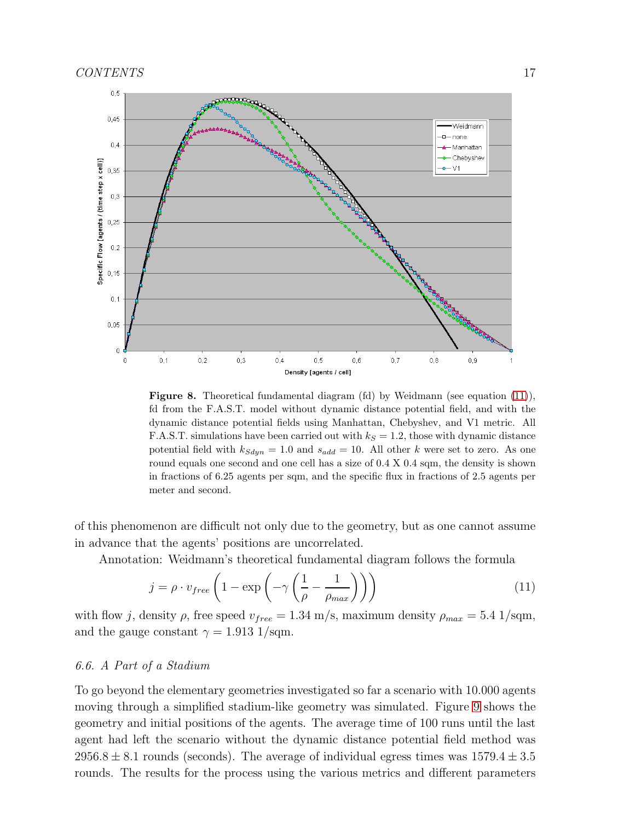

<span id="page-16-1"></span>Figure 8. Theoretical fundamental diagram (fd) by Weidmann (see equation [\(11\)](#page-16-2)), fd from the F.A.S.T. model without dynamic distance potential field, and with the dynamic distance potential fields using Manhattan, Chebyshev, and V1 metric. All F.A.S.T. simulations have been carried out with  $k<sub>S</sub> = 1.2$ , those with dynamic distance potential field with  $k_{Sdyn} = 1.0$  and  $s_{add} = 10$ . All other k were set to zero. As one round equals one second and one cell has a size of  $0.4 \times 0.4$  sqm, the density is shown in fractions of 6.25 agents per sqm, and the specific flux in fractions of 2.5 agents per meter and second.

of this phenomenon are difficult not only due to the geometry, but as one cannot assume in advance that the agents' positions are uncorrelated.

Annotation: Weidmann's theoretical fundamental diagram follows the formula

<span id="page-16-2"></span>
$$
j = \rho \cdot v_{free} \left( 1 - \exp \left( -\gamma \left( \frac{1}{\rho} - \frac{1}{\rho_{max}} \right) \right) \right) \tag{11}
$$

with flow j, density  $\rho$ , free speed  $v_{free} = 1.34$  m/s, maximum density  $\rho_{max} = 5.4$  1/sqm, and the gauge constant  $\gamma = 1.913 \frac{\text{1}}{\text{sqrt}}$ .

## <span id="page-16-0"></span>6.6. A Part of a Stadium

To go beyond the elementary geometries investigated so far a scenario with 10.000 agents moving through a simplified stadium-like geometry was simulated. Figure [9](#page-17-0) shows the geometry and initial positions of the agents. The average time of 100 runs until the last agent had left the scenario without the dynamic distance potential field method was 2956.8  $\pm$  8.1 rounds (seconds). The average of individual egress times was 1579.4  $\pm$  3.5 rounds. The results for the process using the various metrics and different parameters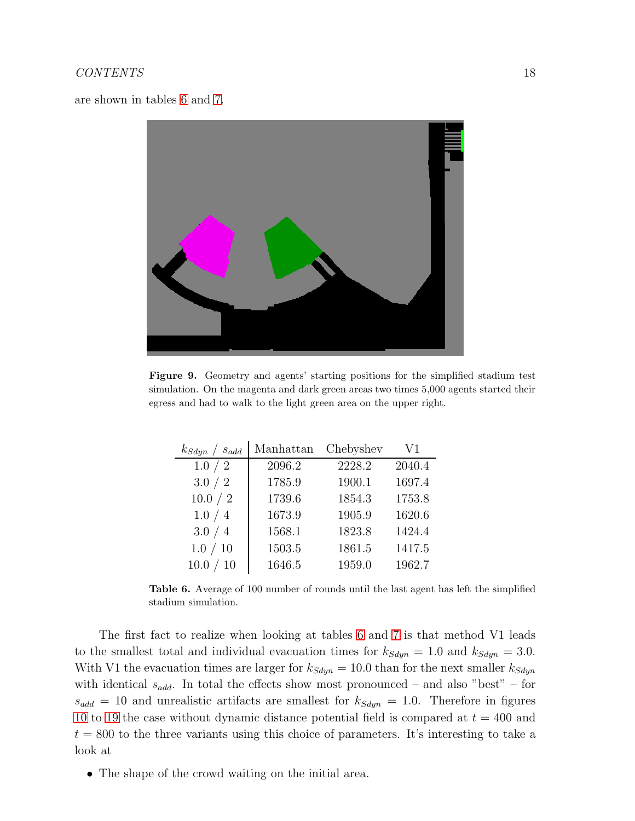are shown in tables [6](#page-17-1) and [7.](#page-18-0)



Figure 9. Geometry and agents' starting positions for the simplified stadium test simulation. On the magenta and dark green areas two times 5,000 agents started their egress and had to walk to the light green area on the upper right.

<span id="page-17-0"></span>

| $k_{Sdyn}$ / $s_{add}$ | Manhattan | Chebyshev | V1     |
|------------------------|-----------|-----------|--------|
| 1.0 / 2                | 2096.2    | 2228.2    | 2040.4 |
| 3.0 / 2                | 1785.9    | 1900.1    | 1697.4 |
| 10.0 / 2               | 1739.6    | 1854.3    | 1753.8 |
| 1.0 / 4                | 1673.9    | 1905.9    | 1620.6 |
| 3.0 / 4                | 1568.1    | 1823.8    | 1424.4 |
| 1.0 / 10               | 1503.5    | 1861.5    | 1417.5 |
| 10.0 / 10              | 1646.5    | 1959.0    | 1962.7 |

<span id="page-17-1"></span>Table 6. Average of 100 number of rounds until the last agent has left the simplified stadium simulation.

The first fact to realize when looking at tables [6](#page-17-1) and [7](#page-18-0) is that method V1 leads to the smallest total and individual evacuation times for  $k_{Sdyn} = 1.0$  and  $k_{Sdyn} = 3.0$ . With V1 the evacuation times are larger for  $k_{Sdyn} = 10.0$  than for the next smaller  $k_{Sdyn}$ with identical  $s_{add}$ . In total the effects show most pronounced – and also "best" – for  $s_{add} = 10$  and unrealistic artifacts are smallest for  $k_{Sdyn} = 1.0$ . Therefore in figures [10](#page-19-0) to [19](#page-23-0) the case without dynamic distance potential field is compared at  $t = 400$  and  $t = 800$  to the three variants using this choice of parameters. It's interesting to take a look at

• The shape of the crowd waiting on the initial area.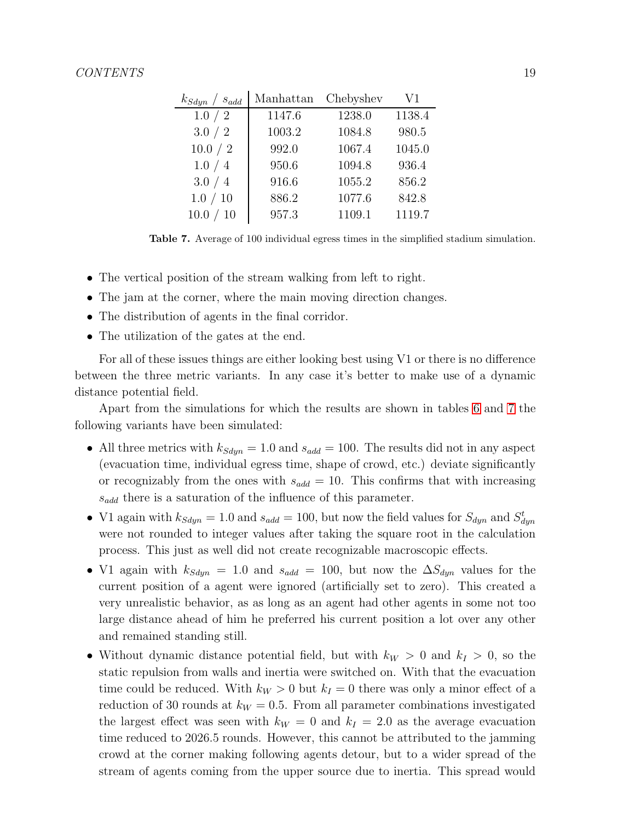| $k_{Sdyn}$ / $s_{add}$ | Manhattan | Chebyshev | V1     |
|------------------------|-----------|-----------|--------|
| 1.0 / 2                | 1147.6    | 1238.0    | 1138.4 |
| 3.0 / 2                | 1003.2    | 1084.8    | 980.5  |
| 10.0 / 2               | 992.0     | 1067.4    | 1045.0 |
| 1.0 / 4                | 950.6     | 1094.8    | 936.4  |
| 3.0 / 4                | 916.6     | 1055.2    | 856.2  |
| 1.0 / 10               | 886.2     | 1077.6    | 842.8  |
| 10.0 / 10              | 957.3     | 1109.1    | 1119.7 |

<span id="page-18-0"></span>Table 7. Average of 100 individual egress times in the simplified stadium simulation.

- The vertical position of the stream walking from left to right.
- The jam at the corner, where the main moving direction changes.
- The distribution of agents in the final corridor.
- The utilization of the gates at the end.

For all of these issues things are either looking best using V1 or there is no difference between the three metric variants. In any case it's better to make use of a dynamic distance potential field.

Apart from the simulations for which the results are shown in tables [6](#page-17-1) and [7](#page-18-0) the following variants have been simulated:

- All three metrics with  $k_{Sdyn} = 1.0$  and  $s_{add} = 100$ . The results did not in any aspect (evacuation time, individual egress time, shape of crowd, etc.) deviate significantly or recognizably from the ones with  $s_{add} = 10$ . This confirms that with increasing  $s_{add}$  there is a saturation of the influence of this parameter.
- V1 again with  $k_{Sdyn} = 1.0$  and  $s_{add} = 100$ , but now the field values for  $S_{dyn}$  and  $S_{dyn}^t$ were not rounded to integer values after taking the square root in the calculation process. This just as well did not create recognizable macroscopic effects.
- V1 again with  $k_{Sdyn} = 1.0$  and  $s_{add} = 100$ , but now the  $\Delta S_{dyn}$  values for the current position of a agent were ignored (artificially set to zero). This created a very unrealistic behavior, as as long as an agent had other agents in some not too large distance ahead of him he preferred his current position a lot over any other and remained standing still.
- Without dynamic distance potential field, but with  $k_W > 0$  and  $k_I > 0$ , so the static repulsion from walls and inertia were switched on. With that the evacuation time could be reduced. With  $k_W > 0$  but  $k_I = 0$  there was only a minor effect of a reduction of 30 rounds at  $k_W = 0.5$ . From all parameter combinations investigated the largest effect was seen with  $k_W = 0$  and  $k_I = 2.0$  as the average evacuation time reduced to 2026.5 rounds. However, this cannot be attributed to the jamming crowd at the corner making following agents detour, but to a wider spread of the stream of agents coming from the upper source due to inertia. This spread would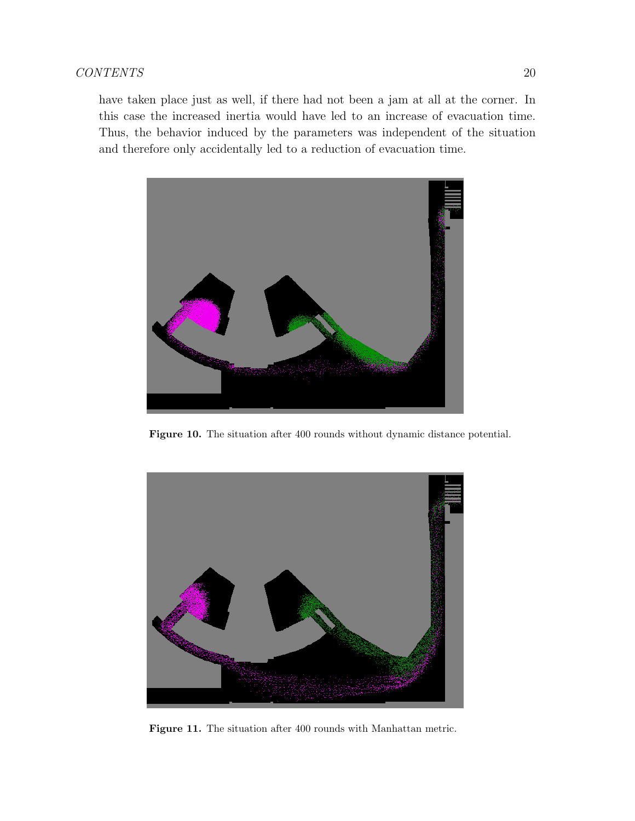have taken place just as well, if there had not been a jam at all at the corner. In this case the increased inertia would have led to an increase of evacuation time. Thus, the behavior induced by the parameters was independent of the situation and therefore only accidentally led to a reduction of evacuation time.



Figure 10. The situation after 400 rounds without dynamic distance potential.

<span id="page-19-0"></span>

Figure 11. The situation after 400 rounds with Manhattan metric.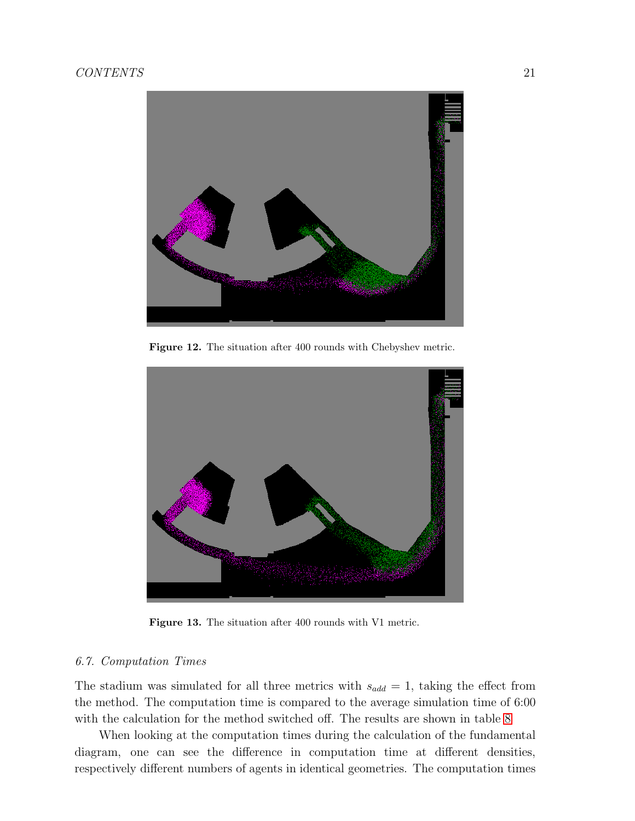

Figure 12. The situation after 400 rounds with Chebyshev metric.



Figure 13. The situation after 400 rounds with V1 metric.

## <span id="page-20-0"></span>6.7. Computation Times

The stadium was simulated for all three metrics with  $s_{add} = 1$ , taking the effect from the method. The computation time is compared to the average simulation time of 6:00 with the calculation for the method switched off. The results are shown in table [8](#page-21-0)

When looking at the computation times during the calculation of the fundamental diagram, one can see the difference in computation time at different densities, respectively different numbers of agents in identical geometries. The computation times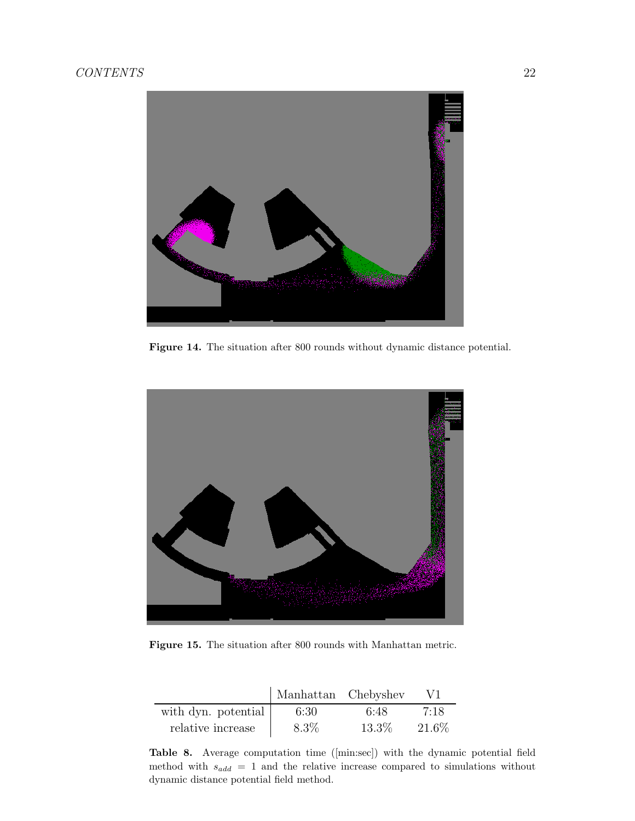

Figure 14. The situation after 800 rounds without dynamic distance potential.



Figure 15. The situation after 800 rounds with Manhattan metric.

|                     | Manhattan Chebyshev |       | V1     |
|---------------------|---------------------|-------|--------|
| with dyn. potential | 6:30                | 6:48  | 7:18   |
| relative increase   | $8.3\%$             | 13.3% | 21.6\% |

<span id="page-21-0"></span>Table 8. Average computation time ([min:sec]) with the dynamic potential field method with  $s_{add} = 1$  and the relative increase compared to simulations without dynamic distance potential field method.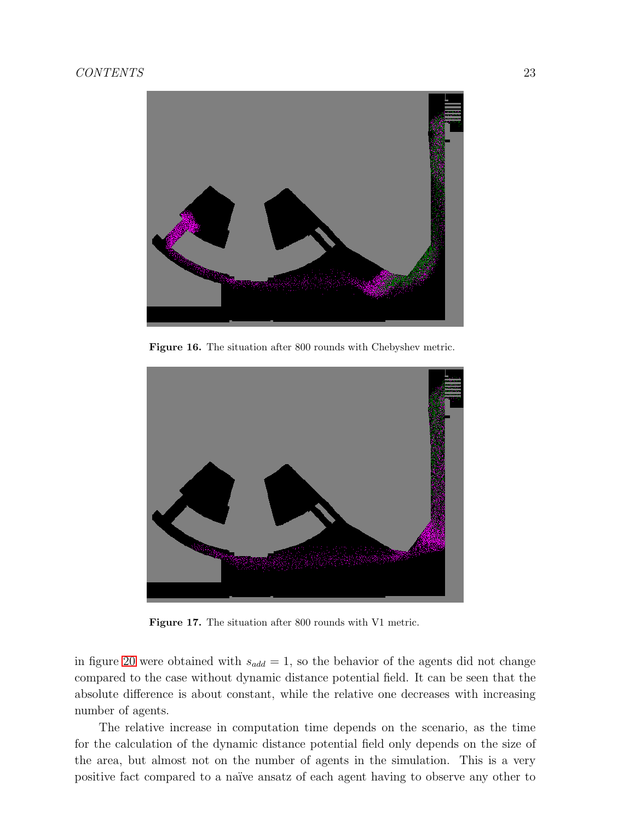

Figure 16. The situation after 800 rounds with Chebyshev metric.



Figure 17. The situation after 800 rounds with V1 metric.

in figure [20](#page-24-0) were obtained with  $s_{add} = 1$ , so the behavior of the agents did not change compared to the case without dynamic distance potential field. It can be seen that the absolute difference is about constant, while the relative one decreases with increasing number of agents.

The relative increase in computation time depends on the scenario, as the time for the calculation of the dynamic distance potential field only depends on the size of the area, but almost not on the number of agents in the simulation. This is a very positive fact compared to a naïve ansatz of each agent having to observe any other to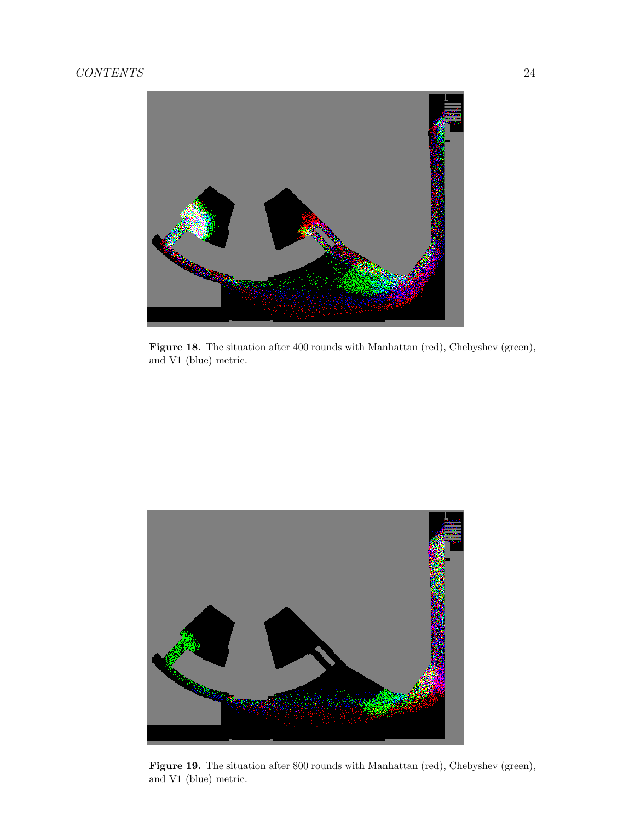

Figure 18. The situation after 400 rounds with Manhattan (red), Chebyshev (green), and V1 (blue) metric.

<span id="page-23-0"></span>

Figure 19. The situation after 800 rounds with Manhattan (red), Chebyshev (green), and V1 (blue) metric.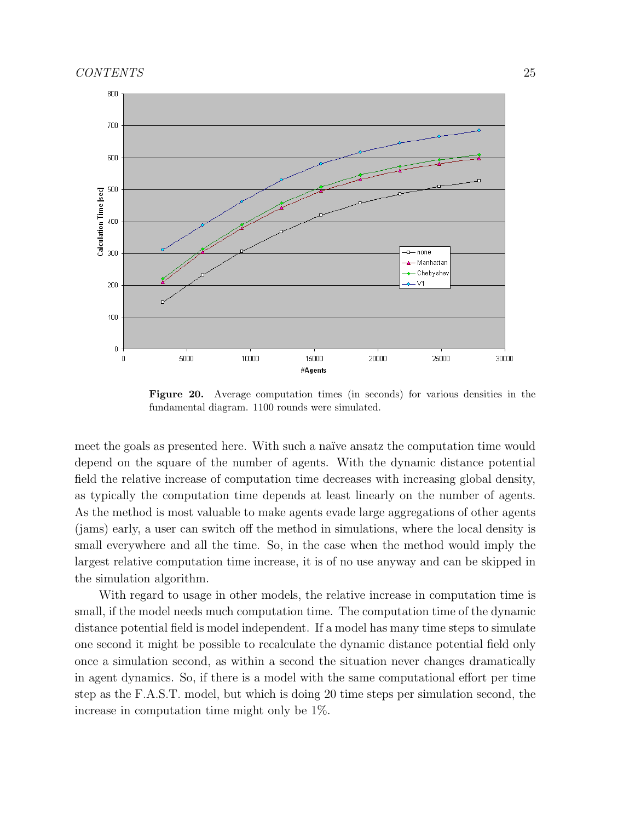

<span id="page-24-0"></span>Figure 20. Average computation times (in seconds) for various densities in the fundamental diagram. 1100 rounds were simulated.

meet the goals as presented here. With such a naïve ansatz the computation time would depend on the square of the number of agents. With the dynamic distance potential field the relative increase of computation time decreases with increasing global density, as typically the computation time depends at least linearly on the number of agents. As the method is most valuable to make agents evade large aggregations of other agents (jams) early, a user can switch off the method in simulations, where the local density is small everywhere and all the time. So, in the case when the method would imply the largest relative computation time increase, it is of no use anyway and can be skipped in the simulation algorithm.

With regard to usage in other models, the relative increase in computation time is small, if the model needs much computation time. The computation time of the dynamic distance potential field is model independent. If a model has many time steps to simulate one second it might be possible to recalculate the dynamic distance potential field only once a simulation second, as within a second the situation never changes dramatically in agent dynamics. So, if there is a model with the same computational effort per time step as the F.A.S.T. model, but which is doing 20 time steps per simulation second, the increase in computation time might only be 1%.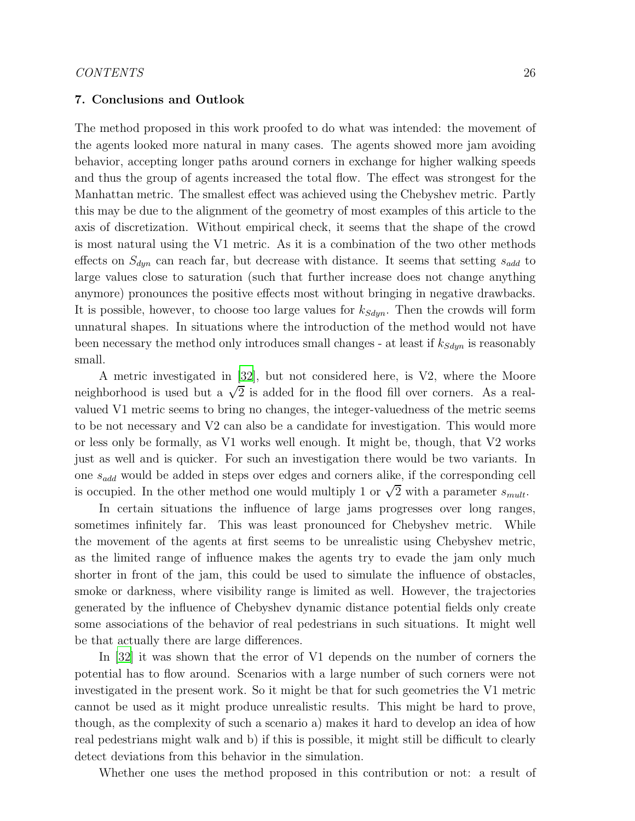#### <span id="page-25-0"></span>7. Conclusions and Outlook

The method proposed in this work proofed to do what was intended: the movement of the agents looked more natural in many cases. The agents showed more jam avoiding behavior, accepting longer paths around corners in exchange for higher walking speeds and thus the group of agents increased the total flow. The effect was strongest for the Manhattan metric. The smallest effect was achieved using the Chebyshev metric. Partly this may be due to the alignment of the geometry of most examples of this article to the axis of discretization. Without empirical check, it seems that the shape of the crowd is most natural using the V1 metric. As it is a combination of the two other methods effects on  $S_{dyn}$  can reach far, but decrease with distance. It seems that setting  $s_{add}$  to large values close to saturation (such that further increase does not change anything anymore) pronounces the positive effects most without bringing in negative drawbacks. It is possible, however, to choose too large values for  $k_{Sdyn}$ . Then the crowds will form unnatural shapes. In situations where the introduction of the method would not have been necessary the method only introduces small changes - at least if  $k_{Sdyn}$  is reasonably small.

A metric investigated in [\[32\]](#page-28-4), but not considered here, is V2, where the Moore neighborhood is used but a  $\sqrt{2}$  is added for in the flood fill over corners. As a realvalued V1 metric seems to bring no changes, the integer-valuedness of the metric seems to be not necessary and V2 can also be a candidate for investigation. This would more or less only be formally, as V1 works well enough. It might be, though, that V2 works just as well and is quicker. For such an investigation there would be two variants. In one sadd would be added in steps over edges and corners alike, if the corresponding cell is occupied. In the other method one would multiply 1 or  $\sqrt{2}$  with a parameter  $s_{mult}$ .

In certain situations the influence of large jams progresses over long ranges, sometimes infinitely far. This was least pronounced for Chebyshev metric. While the movement of the agents at first seems to be unrealistic using Chebyshev metric, as the limited range of influence makes the agents try to evade the jam only much shorter in front of the jam, this could be used to simulate the influence of obstacles, smoke or darkness, where visibility range is limited as well. However, the trajectories generated by the influence of Chebyshev dynamic distance potential fields only create some associations of the behavior of real pedestrians in such situations. It might well be that actually there are large differences.

In [\[32\]](#page-28-4) it was shown that the error of V1 depends on the number of corners the potential has to flow around. Scenarios with a large number of such corners were not investigated in the present work. So it might be that for such geometries the V1 metric cannot be used as it might produce unrealistic results. This might be hard to prove, though, as the complexity of such a scenario a) makes it hard to develop an idea of how real pedestrians might walk and b) if this is possible, it might still be difficult to clearly detect deviations from this behavior in the simulation.

Whether one uses the method proposed in this contribution or not: a result of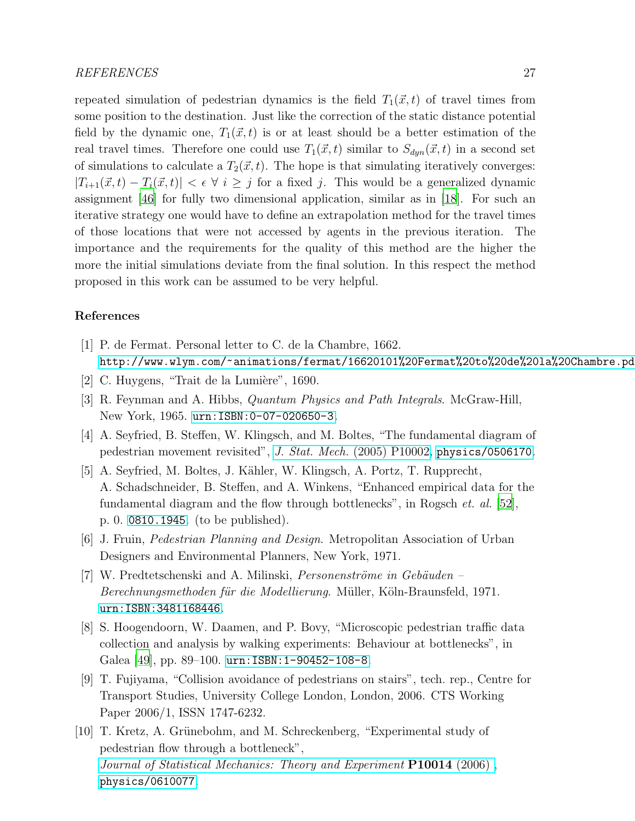#### REFERENCES 27

repeated simulation of pedestrian dynamics is the field  $T_1(\vec{x}, t)$  of travel times from some position to the destination. Just like the correction of the static distance potential field by the dynamic one,  $T_1(\vec{x}, t)$  is or at least should be a better estimation of the real travel times. Therefore one could use  $T_1(\vec{x}, t)$  similar to  $S_{dyn}(\vec{x}, t)$  in a second set of simulations to calculate a  $T_2(\vec{x}, t)$ . The hope is that simulating iteratively converges:  $|T_{i+1}(\vec{x}, t) - T_i(\vec{x}, t)| < \epsilon \ \forall \ i \geq j$  for a fixed j. This would be a generalized dynamic assignment [\[46](#page-29-7)] for fully two dimensional application, similar as in [\[18\]](#page-27-5). For such an iterative strategy one would have to define an extrapolation method for the travel times of those locations that were not accessed by agents in the previous iteration. The importance and the requirements for the quality of this method are the higher the more the initial simulations deviate from the final solution. In this respect the method proposed in this work can be assumed to be very helpful.

## References

- <span id="page-26-0"></span>[1] P. de Fermat. Personal letter to C. de la Chambre, 1662. <http://www.wlym.com/~animations/fermat/16620101%20Fermat%20to%20de%20la%20Chambre.pdf>.
- <span id="page-26-1"></span> $[2]$  C. Huygens, "Trait de la Lumière", 1690.
- <span id="page-26-2"></span>[3] R. Feynman and A. Hibbs, Quantum Physics and Path Integrals. McGraw-Hill, New York, 1965. <urn:ISBN:0-07-020650-3>.
- <span id="page-26-3"></span>[4] A. Seyfried, B. Steffen, W. Klingsch, and M. Boltes, "The fundamental diagram of pedestrian movement revisited", J. Stat. Mech. [\(2005\) P10002,](http://dx.doi.org/10.1088/1742-5468/2005/10/P10002) [physics/0506170](http://arxiv.org/abs/physics/0506170).
- <span id="page-26-4"></span>[5] A. Seyfried, M. Boltes, J. K¨ahler, W. Klingsch, A. Portz, T. Rupprecht, A. Schadschneider, B. Steffen, and A. Winkens, "Enhanced empirical data for the fundamental diagram and the flow through bottlenecks", in Rogsch *et. al.* [\[52\]](#page-30-0), p. 0. [0810.1945](http://arxiv.org/abs/0810.1945). (to be published).
- <span id="page-26-5"></span>[6] J. Fruin, Pedestrian Planning and Design. Metropolitan Association of Urban Designers and Environmental Planners, New York, 1971.
- $[7]$  W. Predtetschenski and A. Milinski, Personenströme in Gebäuden Berechnungsmethoden für die Modellierung. Müller, Köln-Braunsfeld, 1971. <urn:ISBN:3481168446>.
- [8] S. Hoogendoorn, W. Daamen, and P. Bovy, "Microscopic pedestrian traffic data collection and analysis by walking experiments: Behaviour at bottlenecks", in Galea [\[49](#page-29-8)], pp. 89–100. urn: ISBN: 1-90452-108-8.
- [9] T. Fujiyama, "Collision avoidance of pedestrians on stairs", tech. rep., Centre for Transport Studies, University College London, London, 2006. CTS Working Paper 2006/1, ISSN 1747-6232.
- [10] T. Kretz, A. Grünebohm, and M. Schreckenberg, "Experimental study of pedestrian flow through a bottleneck", [Journal of Statistical Mechanics: Theory and Experiment](http://dx.doi.org/10.1088/1742-5468/2006/10/P10014) **P10014** (2006), [physics/0610077](http://arxiv.org/abs/physics/0610077).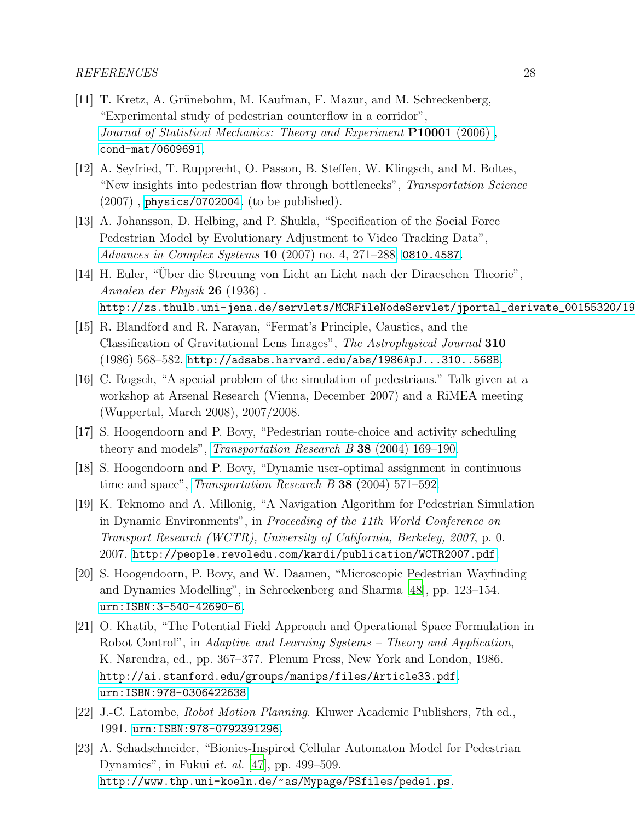- [11] T. Kretz, A. Grünebohm, M. Kaufman, F. Mazur, and M. Schreckenberg, "Experimental study of pedestrian counterflow in a corridor", [Journal of Statistical Mechanics: Theory and Experiment](http://dx.doi.org/10.1088/1742-5468/2006/10/P10001) **P10001** (2006), [cond-mat/0609691](http://arxiv.org/abs/cond-mat/0609691).
- [12] A. Seyfried, T. Rupprecht, O. Passon, B. Steffen, W. Klingsch, and M. Boltes, "New insights into pedestrian flow through bottlenecks", Transportation Science (2007) , [physics/0702004](http://arxiv.org/abs/physics/0702004). (to be published).
- <span id="page-27-0"></span>[13] A. Johansson, D. Helbing, and P. Shukla, "Specification of the Social Force Pedestrian Model by Evolutionary Adjustment to Video Tracking Data", [Advances in Complex Systems](http://dx.doi.org/10.1142/S0219525907001355) 10 (2007) no. 4, 271–288, [0810.4587](http://arxiv.org/abs/0810.4587).
- <span id="page-27-1"></span> $\left[14\right]$  H. Euler, "Über die Streuung von Licht an Licht nach der Diracschen Theorie", Annalen der Physik 26 (1936) . http://zs.thulb.uni-jena.de/servlets/MCRFileNodeServlet/jportal\_derivate\_00155320/19
- <span id="page-27-2"></span>[15] R. Blandford and R. Narayan, "Fermat's Principle, Caustics, and the Classification of Gravitational Lens Images", The Astrophysical Journal 310 (1986) 568–582. <http://adsabs.harvard.edu/abs/1986ApJ...310..568B>.
- <span id="page-27-3"></span>[16] C. Rogsch, "A special problem of the simulation of pedestrians." Talk given at a workshop at Arsenal Research (Vienna, December 2007) and a RiMEA meeting (Wuppertal, March 2008), 2007/2008.
- <span id="page-27-4"></span>[17] S. Hoogendoorn and P. Bovy, "Pedestrian route-choice and activity scheduling theory and models", *[Transportation Research B](http://dx.doi.org/10.1016/S0191-2615(03)00007-9)* 38 (2004) 169-190.
- <span id="page-27-5"></span>[18] S. Hoogendoorn and P. Bovy, "Dynamic user-optimal assignment in continuous time and space", *[Transportation Research B](http://dx.doi.org/10.1016/j.trb.2002.12.001)* 38 (2004) 571–592.
- <span id="page-27-6"></span>[19] K. Teknomo and A. Millonig, "A Navigation Algorithm for Pedestrian Simulation in Dynamic Environments", in Proceeding of the 11th World Conference on Transport Research (WCTR), University of California, Berkeley, 2007, p. 0. 2007. <http://people.revoledu.com/kardi/publication/WCTR2007.pdf>.
- <span id="page-27-7"></span>[20] S. Hoogendoorn, P. Bovy, and W. Daamen, "Microscopic Pedestrian Wayfinding and Dynamics Modelling", in Schreckenberg and Sharma [\[48](#page-29-9)], pp. 123–154. <urn:ISBN:3-540-42690-6>.
- <span id="page-27-8"></span>[21] O. Khatib, "The Potential Field Approach and Operational Space Formulation in Robot Control", in Adaptive and Learning Systems – Theory and Application, K. Narendra, ed., pp. 367–377. Plenum Press, New York and London, 1986. <http://ai.stanford.edu/groups/manips/files/Article33.pdf>. <urn:ISBN:978-0306422638>.
- <span id="page-27-9"></span>[22] J.-C. Latombe, Robot Motion Planning. Kluwer Academic Publishers, 7th ed., 1991. <urn:ISBN:978-0792391296>.
- <span id="page-27-10"></span>[23] A. Schadschneider, "Bionics-Inspired Cellular Automaton Model for Pedestrian Dynamics", in Fukui et. al. [\[47\]](#page-29-10), pp. 499–509. <http://www.thp.uni-koeln.de/~as/Mypage/PSfiles/pede1.ps>.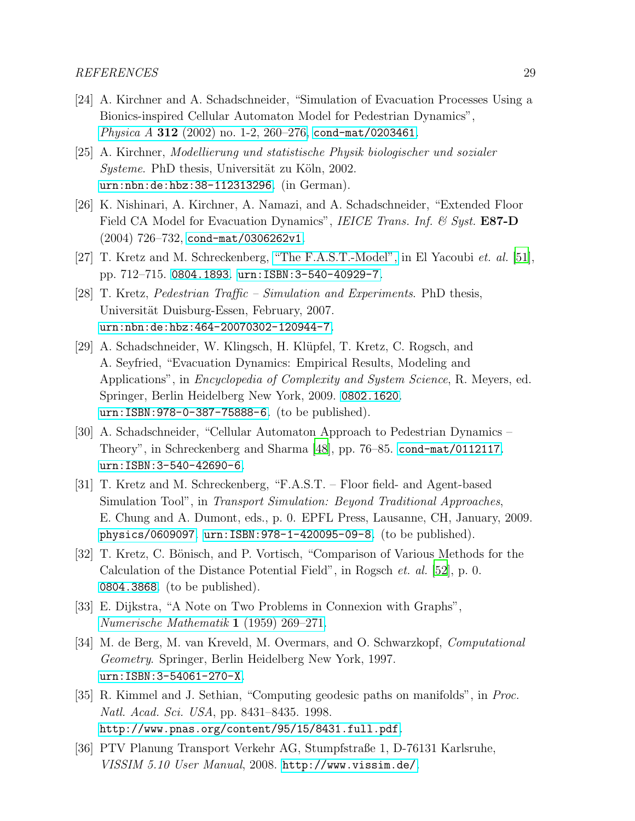- [24] A. Kirchner and A. Schadschneider, "Simulation of Evacuation Processes Using a Bionics-inspired Cellular Automaton Model for Pedestrian Dynamics", *Physica A* 312 (2002) no. 1-2, 260-276, [cond-mat/0203461](http://arxiv.org/abs/cond-mat/0203461).
- [25] A. Kirchner, Modellierung und statistische Physik biologischer und sozialer Systeme. PhD thesis, Universität zu Köln, 2002. <urn:nbn:de:hbz:38-112313296>. (in German).
- <span id="page-28-2"></span>[26] K. Nishinari, A. Kirchner, A. Namazi, and A. Schadschneider, "Extended Floor Field CA Model for Evacuation Dynamics", IEICE Trans. Inf. & Syst. E87-D (2004) 726–732, [cond-mat/0306262v1](http://arxiv.org/abs/cond-mat/0306262v1).
- <span id="page-28-10"></span>[27] T. Kretz and M. Schreckenberg, ["The F.A.S.T.-Model",](http://dx.doi.org/10.1007/11861201_85) in El Yacoubi et. al. [\[51](#page-30-1)], pp. 712–715. [0804.1893](http://arxiv.org/abs/0804.1893). <urn:ISBN:3-540-40929-7>.
- <span id="page-28-5"></span>[28] T. Kretz, Pedestrian Traffic – Simulation and Experiments. PhD thesis, Universität Duisburg-Essen, February, 2007. <urn:nbn:de:hbz:464-20070302-120944-7>.
- <span id="page-28-0"></span>[29] A. Schadschneider, W. Klingsch, H. Kl¨upfel, T. Kretz, C. Rogsch, and A. Seyfried, "Evacuation Dynamics: Empirical Results, Modeling and Applications", in *Encyclopedia of Complexity and System Science*, R. Meyers, ed. Springer, Berlin Heidelberg New York, 2009. [0802.1620](http://arxiv.org/abs/0802.1620). <urn:ISBN:978-0-387-75888-6>. (to be published).
- <span id="page-28-1"></span>[30] A. Schadschneider, "Cellular Automaton Approach to Pedestrian Dynamics – Theory", in Schreckenberg and Sharma [\[48](#page-29-9)], pp. 76–85. [cond-mat/0112117](http://arxiv.org/abs/cond-mat/0112117). <urn:ISBN:3-540-42690-6>.
- <span id="page-28-3"></span>[31] T. Kretz and M. Schreckenberg, "F.A.S.T. – Floor field- and Agent-based Simulation Tool", in *Transport Simulation: Beyond Traditional Approaches*, E. Chung and A. Dumont, eds., p. 0. EPFL Press, Lausanne, CH, January, 2009. [physics/0609097](http://arxiv.org/abs/physics/0609097). <urn:ISBN:978-1-420095-09-8>. (to be published).
- <span id="page-28-4"></span>[32] T. Kretz, C. Bönisch, and P. Vortisch, "Comparison of Various Methods for the Calculation of the Distance Potential Field", in Rogsch et. al. [\[52\]](#page-30-0), p. 0. [0804.3868](http://arxiv.org/abs/0804.3868). (to be published).
- <span id="page-28-6"></span>[33] E. Dijkstra, "A Note on Two Problems in Connexion with Graphs", [Numerische Mathematik](http://dx.doi.org/10.1007/BF01386390) 1 (1959) 269–271.
- <span id="page-28-7"></span>[34] M. de Berg, M. van Kreveld, M. Overmars, and O. Schwarzkopf, Computational Geometry. Springer, Berlin Heidelberg New York, 1997. <urn:ISBN:3-54061-270-X>.
- <span id="page-28-8"></span>[35] R. Kimmel and J. Sethian, "Computing geodesic paths on manifolds", in Proc. Natl. Acad. Sci. USA, pp. 8431–8435. 1998. <http://www.pnas.org/content/95/15/8431.full.pdf>.
- <span id="page-28-9"></span>[36] PTV Planung Transport Verkehr AG, Stumpfstraße 1, D-76131 Karlsruhe, VISSIM 5.10 User Manual, 2008. <http://www.vissim.de/>.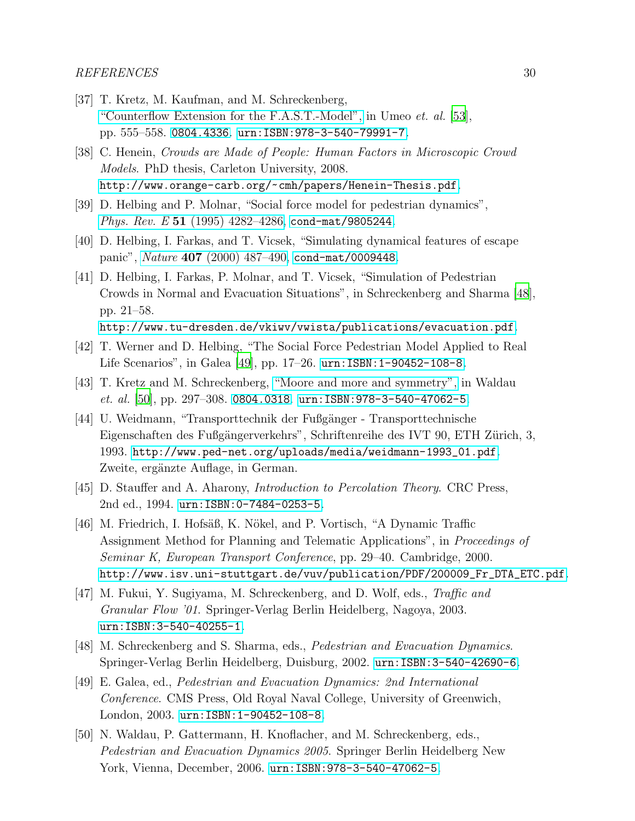- <span id="page-29-0"></span>[37] T. Kretz, M. Kaufman, and M. Schreckenberg, ["Counterflow Extension for the F.A.S.T.-Model",](http://dx.doi.org/10.1007/978-3-540-79992-4_75) in Umeo *et. al.* [\[53\]](#page-30-2), pp. 555–558. [0804.4336](http://arxiv.org/abs/0804.4336). <urn:ISBN:978-3-540-79991-7>.
- <span id="page-29-1"></span>[38] C. Henein, Crowds are Made of People: Human Factors in Microscopic Crowd Models. PhD thesis, Carleton University, 2008. <http://www.orange-carb.org/~cmh/papers/Henein-Thesis.pdf>.
- <span id="page-29-2"></span>[39] D. Helbing and P. Molnar, "Social force model for pedestrian dynamics", Phys. Rev. E 51 (1995) 4282-4286, [cond-mat/9805244](http://arxiv.org/abs/cond-mat/9805244).
- [40] D. Helbing, I. Farkas, and T. Vicsek, "Simulating dynamical features of escape panic", Nature 407 (2000) 487-490, [cond-mat/0009448](http://arxiv.org/abs/cond-mat/0009448).
- [41] D. Helbing, I. Farkas, P. Molnar, and T. Vicsek, "Simulation of Pedestrian Crowds in Normal and Evacuation Situations", in Schreckenberg and Sharma [\[48](#page-29-9)], pp. 21–58.

<http://www.tu-dresden.de/vkiwv/vwista/publications/evacuation.pdf>.

- <span id="page-29-3"></span>[42] T. Werner and D. Helbing, "The Social Force Pedestrian Model Applied to Real Life Scenarios", in Galea [\[49\]](#page-29-8), pp. 17–26. <urn:ISBN:1-90452-108-8>.
- <span id="page-29-4"></span>[43] T. Kretz and M. Schreckenberg, ["Moore and more and symmetry",](http://dx.doi.org/10.1007/978-3-540-47064-9_26) in Waldau  $et.$  al. [\[50\]](#page-29-11), pp. 297-308. [0804.0318](http://arxiv.org/abs/0804.0318). <urn:ISBN:978-3-540-47062-5>.
- <span id="page-29-5"></span>[44] U. Weidmann, "Transporttechnik der Fußgänger - Transporttechnische Eigenschaften des Fußgängerverkehrs", Schriftenreihe des IVT 90, ETH Zürich, 3, 1993. [http://www.ped-net.org/uploads/media/weidmann-1993\\_01.pdf](http://www.ped-net.org/uploads/media/weidmann-1993_01.pdf). Zweite, ergänzte Auflage, in German.
- <span id="page-29-6"></span>[45] D. Stauffer and A. Aharony, Introduction to Percolation Theory. CRC Press, 2nd ed., 1994. <urn:ISBN:0-7484-0253-5>.
- <span id="page-29-7"></span>[46] M. Friedrich, I. Hofsäß, K. Nökel, and P. Vortisch, "A Dynamic Traffic Assignment Method for Planning and Telematic Applications", in Proceedings of Seminar K, European Transport Conference, pp. 29–40. Cambridge, 2000. [http://www.isv.uni-stuttgart.de/vuv/publication/PDF/200009\\_Fr\\_DTA\\_ETC.pdf](http://www.isv.uni-stuttgart.de/vuv/publication/PDF/200009_Fr_DTA_ETC.pdf).
- <span id="page-29-10"></span>[47] M. Fukui, Y. Sugiyama, M. Schreckenberg, and D. Wolf, eds., Traffic and Granular Flow '01. Springer-Verlag Berlin Heidelberg, Nagoya, 2003. <urn:ISBN:3-540-40255-1>.
- <span id="page-29-9"></span>[48] M. Schreckenberg and S. Sharma, eds., Pedestrian and Evacuation Dynamics. Springer-Verlag Berlin Heidelberg, Duisburg, 2002. <urn:ISBN:3-540-42690-6>.
- <span id="page-29-8"></span>[49] E. Galea, ed., Pedestrian and Evacuation Dynamics: 2nd International Conference. CMS Press, Old Royal Naval College, University of Greenwich, London, 2003. <urn:ISBN:1-90452-108-8>.
- <span id="page-29-11"></span>[50] N. Waldau, P. Gattermann, H. Knoflacher, and M. Schreckenberg, eds., Pedestrian and Evacuation Dynamics 2005. Springer Berlin Heidelberg New York, Vienna, December, 2006. <urn:ISBN:978-3-540-47062-5>.